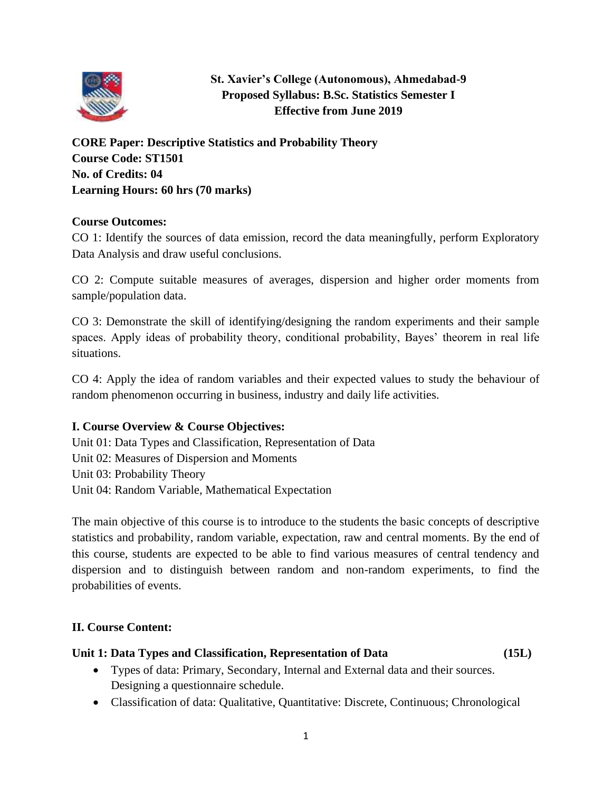

# **St. Xavier's College (Autonomous), Ahmedabad-9 Proposed Syllabus: B.Sc. Statistics Semester I Effective from June 2019**

**CORE Paper: Descriptive Statistics and Probability Theory Course Code: ST1501 No. of Credits: 04 Learning Hours: 60 hrs (70 marks)**

# **Course Outcomes:**

CO 1: Identify the sources of data emission, record the data meaningfully, perform Exploratory Data Analysis and draw useful conclusions.

CO 2: Compute suitable measures of averages, dispersion and higher order moments from sample/population data.

CO 3: Demonstrate the skill of identifying/designing the random experiments and their sample spaces. Apply ideas of probability theory, conditional probability, Bayes' theorem in real life situations.

CO 4: Apply the idea of random variables and their expected values to study the behaviour of random phenomenon occurring in business, industry and daily life activities.

# **I. Course Overview & Course Objectives:**

Unit 01: Data Types and Classification, Representation of Data Unit 02: Measures of Dispersion and Moments Unit 03: Probability Theory Unit 04: Random Variable, Mathematical Expectation

The main objective of this course is to introduce to the students the basic concepts of descriptive statistics and probability, random variable, expectation, raw and central moments. By the end of this course, students are expected to be able to find various measures of central tendency and dispersion and to distinguish between random and non-random experiments, to find the probabilities of events.

# **II. Course Content:**

# **Unit 1: Data Types and Classification, Representation of Data (15L)**

- Types of data: Primary, Secondary, Internal and External data and their sources. Designing a questionnaire schedule.
- Classification of data: Qualitative, Quantitative: Discrete, Continuous; Chronological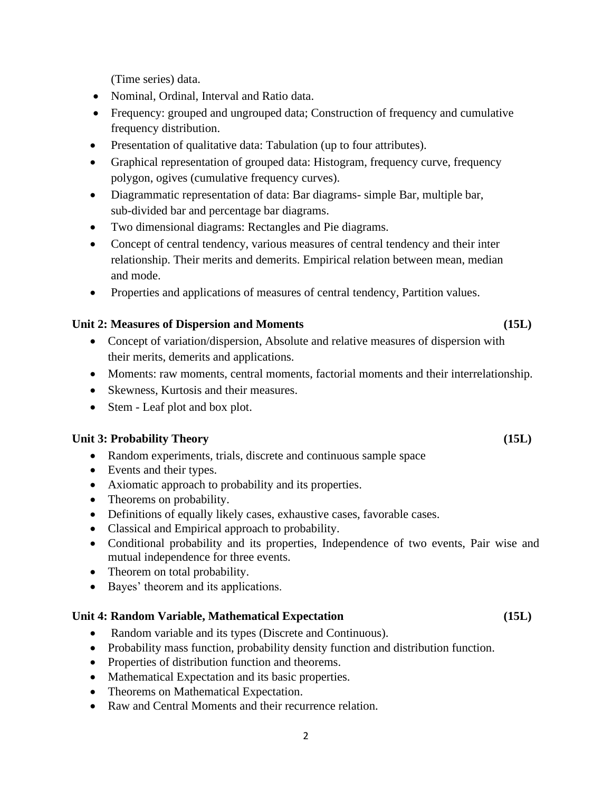2

(Time series) data.

- Nominal, Ordinal, Interval and Ratio data.
- Frequency: grouped and ungrouped data; Construction of frequency and cumulative frequency distribution.
- Presentation of qualitative data: Tabulation (up to four attributes).
- Graphical representation of grouped data: Histogram, frequency curve, frequency polygon, ogives (cumulative frequency curves).
- Diagrammatic representation of data: Bar diagrams- simple Bar, multiple bar, sub-divided bar and percentage bar diagrams.
- Two dimensional diagrams: Rectangles and Pie diagrams.
- Concept of central tendency, various measures of central tendency and their inter relationship. Their merits and demerits. Empirical relation between mean, median and mode.
- Properties and applications of measures of central tendency, Partition values.

# **Unit 2: Measures of Dispersion and Moments (15L)**

- Concept of variation/dispersion, Absolute and relative measures of dispersion with their merits, demerits and applications.
- Moments: raw moments, central moments, factorial moments and their interrelationship.
- Skewness, Kurtosis and their measures.
- Stem Leaf plot and box plot.

# **Unit 3: Probability Theory (15L)**

- Random experiments, trials, discrete and continuous sample space
- Events and their types.
- Axiomatic approach to probability and its properties.
- Theorems on probability.
- Definitions of equally likely cases, exhaustive cases, favorable cases.
- Classical and Empirical approach to probability.
- Conditional probability and its properties, Independence of two events, Pair wise and mutual independence for three events.
- Theorem on total probability.
- Bayes' theorem and its applications.

# **Unit 4: Random Variable, Mathematical Expectation (15L)**

- Random variable and its types (Discrete and Continuous).
- Probability mass function, probability density function and distribution function.
- Properties of distribution function and theorems.
- Mathematical Expectation and its basic properties.
- Theorems on Mathematical Expectation.
- Raw and Central Moments and their recurrence relation.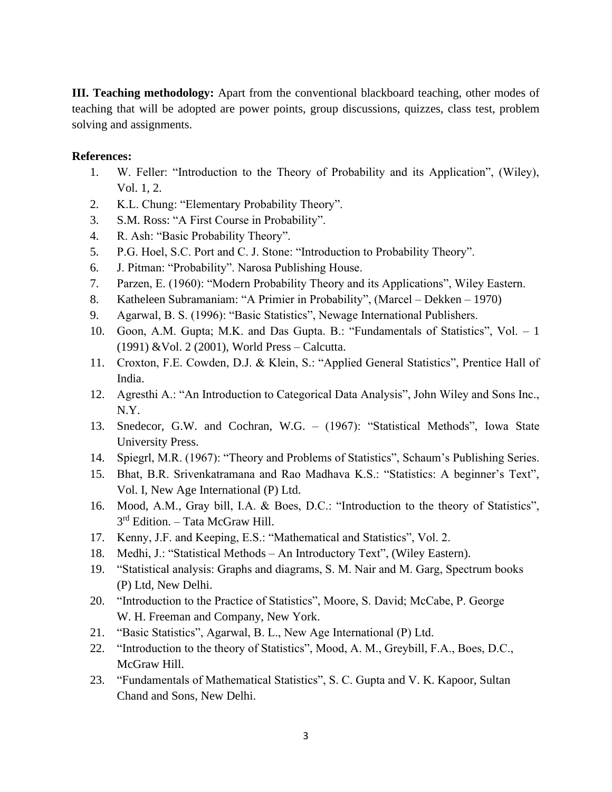**III. Teaching methodology:** Apart from the conventional blackboard teaching, other modes of teaching that will be adopted are power points, group discussions, quizzes, class test, problem solving and assignments.

# **References:**

- 1. W. Feller: "Introduction to the Theory of Probability and its Application", (Wiley), Vol. 1, 2.
- 2. K.L. Chung: "Elementary Probability Theory".
- 3. S.M. Ross: "A First Course in Probability".
- 4. R. Ash: "Basic Probability Theory".
- 5. P.G. Hoel, S.C. Port and C. J. Stone: "Introduction to Probability Theory".
- 6. J. Pitman: "Probability". Narosa Publishing House.
- 7. Parzen, E. (1960): "Modern Probability Theory and its Applications", Wiley Eastern.
- 8. Katheleen Subramaniam: "A Primier in Probability", (Marcel Dekken 1970)
- 9. Agarwal, B. S. (1996): "Basic Statistics", Newage International Publishers.
- 10. Goon, A.M. Gupta; M.K. and Das Gupta. B.: "Fundamentals of Statistics", Vol. 1 (1991) &Vol. 2 (2001), World Press – Calcutta.
- 11. Croxton, F.E. Cowden, D.J. & Klein, S.: "Applied General Statistics", Prentice Hall of India.
- 12. Agresthi A.: "An Introduction to Categorical Data Analysis", John Wiley and Sons Inc., N.Y.
- 13. Snedecor, G.W. and Cochran, W.G. (1967): "Statistical Methods", Iowa State University Press.
- 14. Spiegrl, M.R. (1967): "Theory and Problems of Statistics", Schaum's Publishing Series.
- 15. Bhat, B.R. Srivenkatramana and Rao Madhava K.S.: "Statistics: A beginner's Text", Vol. I, New Age International (P) Ltd.
- 16. Mood, A.M., Gray bill, I.A. & Boes, D.C.: "Introduction to the theory of Statistics", 3<sup>rd</sup> Edition. - Tata McGraw Hill.
- 17. Kenny, J.F. and Keeping, E.S.: "Mathematical and Statistics", Vol. 2.
- 18. Medhi, J.: "Statistical Methods An Introductory Text", (Wiley Eastern).
- 19. "Statistical analysis: Graphs and diagrams, S. M. Nair and M. Garg, Spectrum books (P) Ltd, New Delhi.
- 20. "Introduction to the Practice of Statistics", Moore, S. David; McCabe, P. George W. H. Freeman and Company, New York.
- 21. "Basic Statistics", Agarwal, B. L., New Age International (P) Ltd.
- 22. "Introduction to the theory of Statistics", Mood, A. M., Greybill, F.A., Boes, D.C., McGraw Hill.
- 23. "Fundamentals of Mathematical Statistics", S. C. Gupta and V. K. Kapoor, Sultan Chand and Sons, New Delhi.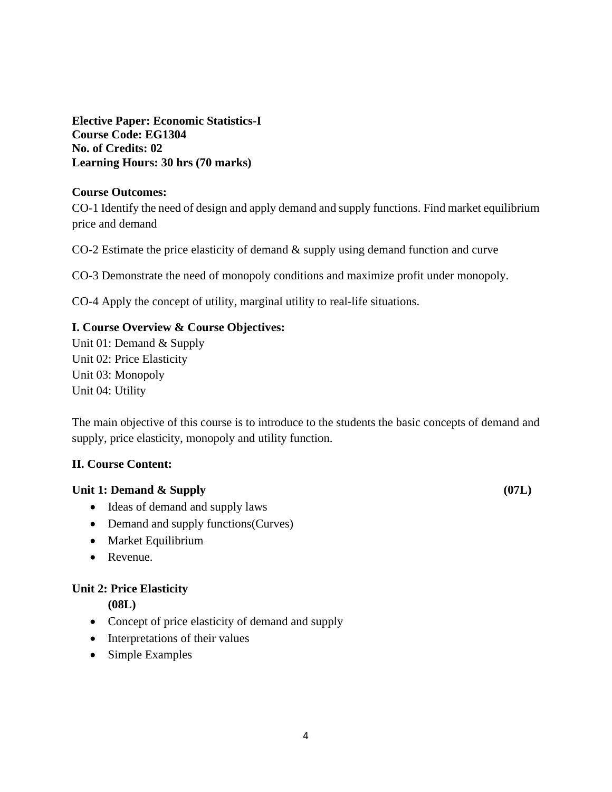**Elective Paper: Economic Statistics-I Course Code: EG1304 No. of Credits: 02 Learning Hours: 30 hrs (70 marks)**

# **Course Outcomes:**

CO-1 Identify the need of design and apply demand and supply functions. Find market equilibrium price and demand

CO-2 Estimate the price elasticity of demand & supply using demand function and curve

CO-3 Demonstrate the need of monopoly conditions and maximize profit under monopoly.

CO-4 Apply the concept of utility, marginal utility to real-life situations.

# **I. Course Overview & Course Objectives:**

Unit 01: Demand & Supply Unit 02: Price Elasticity Unit 03: Monopoly Unit 04: Utility

The main objective of this course is to introduce to the students the basic concepts of demand and supply, price elasticity, monopoly and utility function.

# **II. Course Content:**

# Unit 1: Demand & Supply **(07L) (07L)**

- Ideas of demand and supply laws
- Demand and supply functions (Curves)
- Market Equilibrium
- Revenue.

# **Unit 2: Price Elasticity**

**(08L)**

- Concept of price elasticity of demand and supply
- Interpretations of their values
- Simple Examples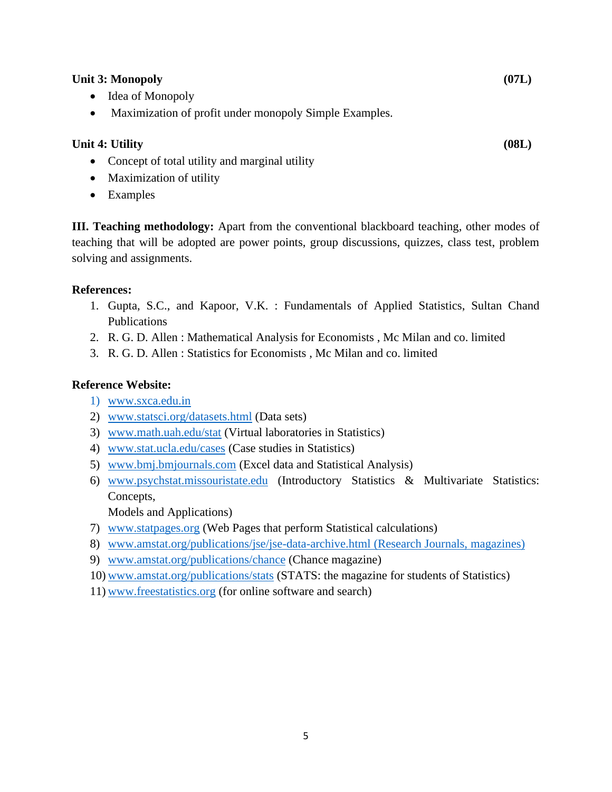#### Unit 3: Monopoly *(07L) (07L)*

- Idea of Monopoly
- Maximization of profit under monopoly Simple Examples.

# **Unit 4: Utility (08L)**

- Concept of total utility and marginal utility
- Maximization of utility
- Examples

**III. Teaching methodology:** Apart from the conventional blackboard teaching, other modes of teaching that will be adopted are power points, group discussions, quizzes, class test, problem solving and assignments.

#### **References:**

- 1. Gupta, S.C., and Kapoor, V.K. : Fundamentals of Applied Statistics, Sultan Chand Publications
- 2. R. G. D. Allen : Mathematical Analysis for Economists , Mc Milan and co. limited
- 3. R. G. D. Allen : Statistics for Economists , Mc Milan and co. limited

# **Reference Website:**

- 1) [www.sxca.edu.in](http://www.sxca.edu.in/)
- 2) [www.statsci.org/datasets.html](http://www.statsci.org/datasets.html) (Data sets)
- 3) [www.math.uah.edu/stat](http://www.math.uah.edu/stat) (Virtual laboratories in Statistics)
- 4) [www.stat.ucla.edu/cases](http://www.stat.ucla.edu/cases) (Case studies in Statistics)
- 5) [www.bmj.bmjournals.com](http://www.bmj.bmjournals.com/) (Excel data and Statistical Analysis)
- 6) [www.psychstat.missouristate.edu](http://www.psychstat.missouristate.edu/) (Introductory Statistics & Multivariate Statistics: Concepts,

Models and Applications)

- 7) [www.statpages.org](http://www.statpages.org/) (Web Pages that perform Statistical calculations)
- 8) [www.amstat.org/publications/jse/jse-data-archive.html](http://www.amstat.org/publications/jse/jse-data-archive.html) (Research Journals, magazines)
- 9) [www.amstat.org/publications/chance](http://www.amstat.org/publications/chance) (Chance magazine)
- 10) [www.amstat.org/publications/stats](http://www.amstat.org/publications/stats) (STATS: the magazine for students of Statistics)
- 11) [www.freestatistics.org](http://www.freestatistics.org/) (for online software and search)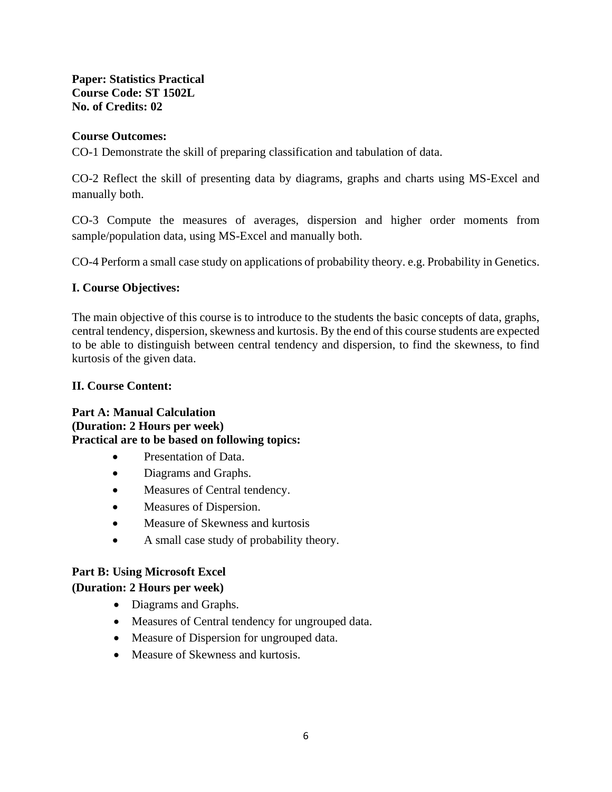# **Paper: Statistics Practical Course Code: ST 1502L No. of Credits: 02**

# **Course Outcomes:**

CO-1 Demonstrate the skill of preparing classification and tabulation of data.

CO-2 Reflect the skill of presenting data by diagrams, graphs and charts using MS-Excel and manually both.

CO-3 Compute the measures of averages, dispersion and higher order moments from sample/population data, using MS-Excel and manually both.

CO-4 Perform a small case study on applications of probability theory. e.g. Probability in Genetics.

# **I. Course Objectives:**

The main objective of this course is to introduce to the students the basic concepts of data, graphs, central tendency, dispersion, skewness and kurtosis. By the end of this course students are expected to be able to distinguish between central tendency and dispersion, to find the skewness, to find kurtosis of the given data.

# **II. Course Content:**

**Part A: Manual Calculation (Duration: 2 Hours per week) Practical are to be based on following topics:**

- Presentation of Data.
- Diagrams and Graphs.
- Measures of Central tendency.
- Measures of Dispersion.
- Measure of Skewness and kurtosis
- A small case study of probability theory.

# **Part B: Using Microsoft Excel**

# **(Duration: 2 Hours per week)**

- Diagrams and Graphs.
- Measures of Central tendency for ungrouped data.
- Measure of Dispersion for ungrouped data.
- Measure of Skewness and kurtosis.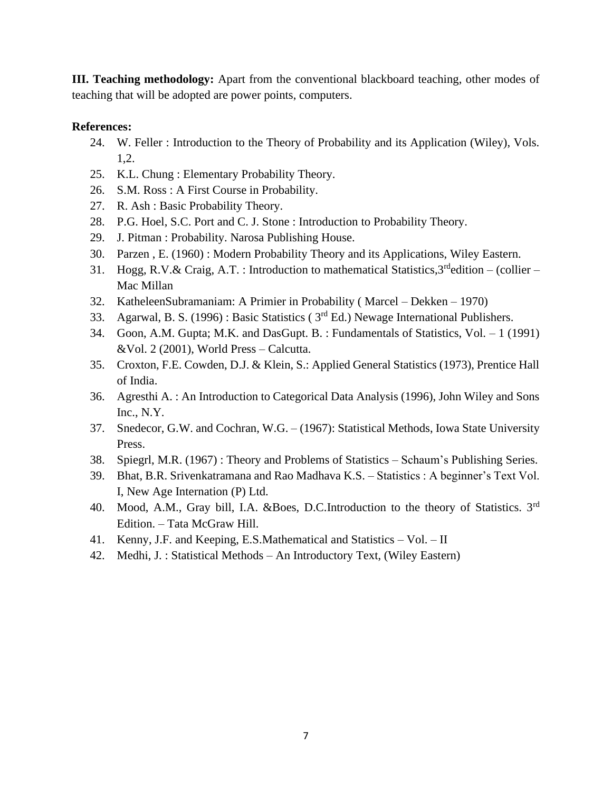**III. Teaching methodology:** Apart from the conventional blackboard teaching, other modes of teaching that will be adopted are power points, computers.

# **References:**

- 24. W. Feller : Introduction to the Theory of Probability and its Application (Wiley), Vols. 1,2.
- 25. K.L. Chung : Elementary Probability Theory.
- 26. S.M. Ross : A First Course in Probability.
- 27. R. Ash : Basic Probability Theory.
- 28. P.G. Hoel, S.C. Port and C. J. Stone : Introduction to Probability Theory.
- 29. J. Pitman : Probability. Narosa Publishing House.
- 30. Parzen , E. (1960) : Modern Probability Theory and its Applications, Wiley Eastern.
- 31. Hogg, R.V.& Craig, A.T. : Introduction to mathematical Statistics,  $3^{rd}$ edition (collier Mac Millan
- 32. KatheleenSubramaniam: A Primier in Probability ( Marcel Dekken 1970)
- 33. Agarwal, B. S. (1996) : Basic Statistics ( 3rd Ed.) Newage International Publishers.
- 34. Goon, A.M. Gupta; M.K. and DasGupt. B. : Fundamentals of Statistics, Vol. 1 (1991) &Vol. 2 (2001), World Press – Calcutta.
- 35. Croxton, F.E. Cowden, D.J. & Klein, S.: Applied General Statistics (1973), Prentice Hall of India.
- 36. Agresthi A. : An Introduction to Categorical Data Analysis (1996), John Wiley and Sons Inc., N.Y.
- 37. Snedecor, G.W. and Cochran, W.G. (1967): Statistical Methods, Iowa State University Press.
- 38. Spiegrl, M.R. (1967) : Theory and Problems of Statistics Schaum's Publishing Series.
- 39. Bhat, B.R. Srivenkatramana and Rao Madhava K.S. Statistics : A beginner's Text Vol. I, New Age Internation (P) Ltd.
- 40. Mood, A.M., Gray bill, I.A. &Boes, D.C.Introduction to the theory of Statistics. 3<sup>rd</sup> Edition. – Tata McGraw Hill.
- 41. Kenny, J.F. and Keeping, E.S.Mathematical and Statistics Vol. II
- 42. Medhi, J. : Statistical Methods An Introductory Text, (Wiley Eastern)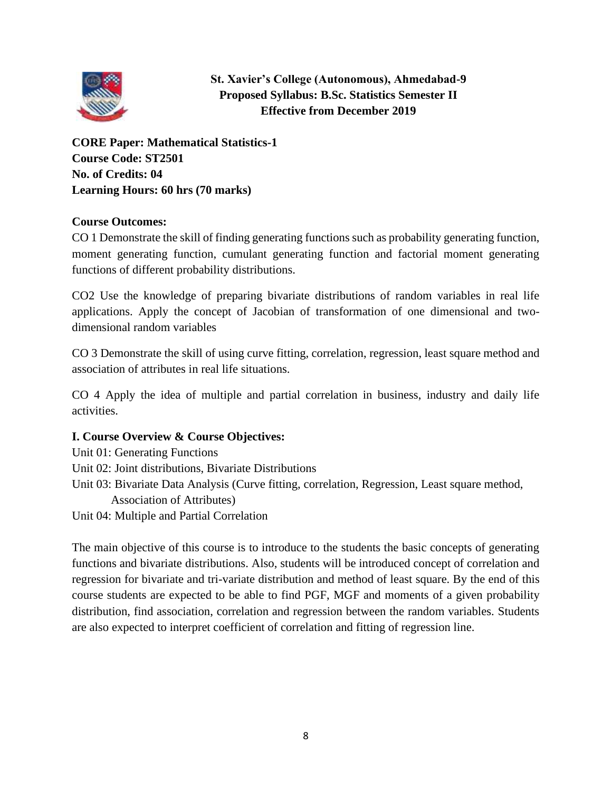

**St. Xavier's College (Autonomous), Ahmedabad-9 Proposed Syllabus: B.Sc. Statistics Semester II Effective from December 2019**

**CORE Paper: Mathematical Statistics-1 Course Code: ST2501 No. of Credits: 04 Learning Hours: 60 hrs (70 marks)**

# **Course Outcomes:**

CO 1 Demonstrate the skill of finding generating functions such as probability generating function, moment generating function, cumulant generating function and factorial moment generating functions of different probability distributions.

CO2 Use the knowledge of preparing bivariate distributions of random variables in real life applications. Apply the concept of Jacobian of transformation of one dimensional and twodimensional random variables

CO 3 Demonstrate the skill of using curve fitting, correlation, regression, least square method and association of attributes in real life situations.

CO 4 Apply the idea of multiple and partial correlation in business, industry and daily life activities.

# **I. Course Overview & Course Objectives:**

Unit 01: Generating Functions Unit 02: Joint distributions, Bivariate Distributions Unit 03: Bivariate Data Analysis (Curve fitting, correlation, Regression, Least square method, Association of Attributes)

Unit 04: Multiple and Partial Correlation

The main objective of this course is to introduce to the students the basic concepts of generating functions and bivariate distributions. Also, students will be introduced concept of correlation and regression for bivariate and tri-variate distribution and method of least square. By the end of this course students are expected to be able to find PGF, MGF and moments of a given probability distribution, find association, correlation and regression between the random variables. Students are also expected to interpret coefficient of correlation and fitting of regression line.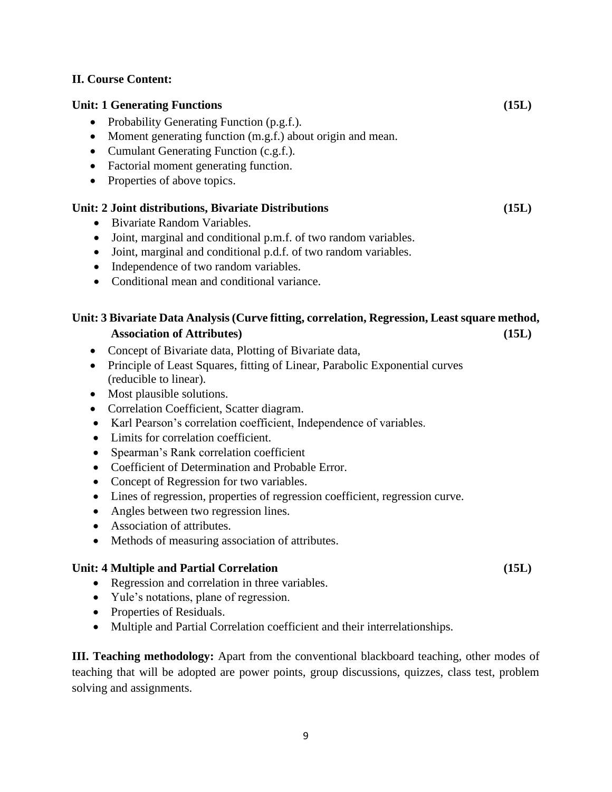#### **II. Course Content:**

#### **Unit: 1 Generating Functions (15L)**

- Probability Generating Function (p.g.f.).
- Moment generating function (m.g.f.) about origin and mean.
- Cumulant Generating Function (c.g.f.).
- Factorial moment generating function.
- Properties of above topics.

#### **Unit: 2 Joint distributions, Bivariate Distributions (15L)**

- Bivariate Random Variables.
- Joint, marginal and conditional p.m.f. of two random variables.
- Joint, marginal and conditional p.d.f. of two random variables.
- Independence of two random variables.
- Conditional mean and conditional variance.

# **Unit: 3 Bivariate Data Analysis (Curve fitting, correlation, Regression, Least square method, Association of Attributes) (15L)**

- Concept of Bivariate data, Plotting of Bivariate data,
- Principle of Least Squares, fitting of Linear, Parabolic Exponential curves (reducible to linear).
- Most plausible solutions.
- Correlation Coefficient, Scatter diagram.
- Karl Pearson's correlation coefficient, Independence of variables.
- Limits for correlation coefficient.
- Spearman's Rank correlation coefficient
- Coefficient of Determination and Probable Error.
- Concept of Regression for two variables.
- Lines of regression, properties of regression coefficient, regression curve.
- Angles between two regression lines.
- Association of attributes.
- Methods of measuring association of attributes.

#### Unit: 4 Multiple and Partial Correlation (15L)

- Regression and correlation in three variables.
- Yule's notations, plane of regression.
- Properties of Residuals.
- Multiple and Partial Correlation coefficient and their interrelationships.

**III. Teaching methodology:** Apart from the conventional blackboard teaching, other modes of teaching that will be adopted are power points, group discussions, quizzes, class test, problem solving and assignments.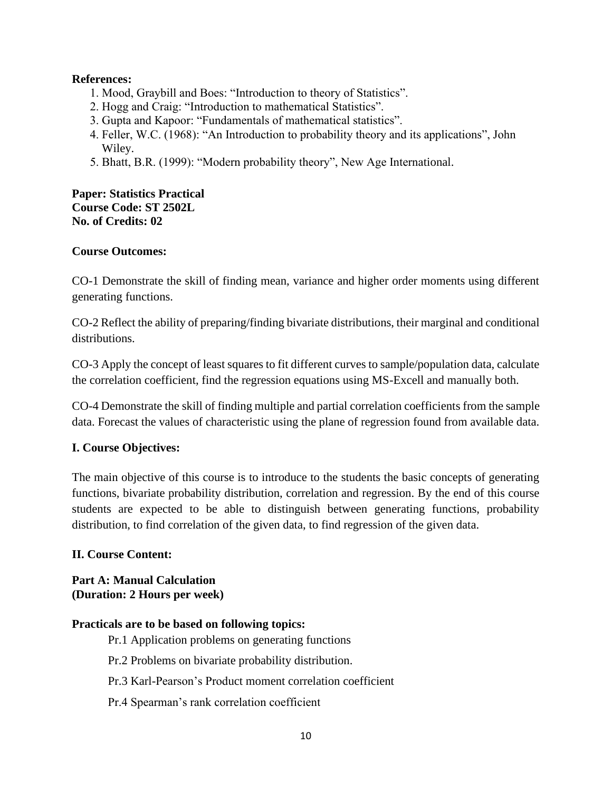# **References:**

- 1. Mood, Graybill and Boes: "Introduction to theory of Statistics".
- 2. Hogg and Craig: "Introduction to mathematical Statistics".
- 3. Gupta and Kapoor: "Fundamentals of mathematical statistics".
- 4. Feller, W.C. (1968): "An Introduction to probability theory and its applications", John Wiley.
- 5. Bhatt, B.R. (1999): "Modern probability theory", New Age International.

#### **Paper: Statistics Practical Course Code: ST 2502L No. of Credits: 02**

# **Course Outcomes:**

CO-1 Demonstrate the skill of finding mean, variance and higher order moments using different generating functions.

CO-2 Reflect the ability of preparing/finding bivariate distributions, their marginal and conditional distributions.

CO-3 Apply the concept of least squares to fit different curves to sample/population data, calculate the correlation coefficient, find the regression equations using MS-Excell and manually both.

CO-4 Demonstrate the skill of finding multiple and partial correlation coefficients from the sample data. Forecast the values of characteristic using the plane of regression found from available data.

#### **I. Course Objectives:**

The main objective of this course is to introduce to the students the basic concepts of generating functions, bivariate probability distribution, correlation and regression. By the end of this course students are expected to be able to distinguish between generating functions, probability distribution, to find correlation of the given data, to find regression of the given data.

#### **II. Course Content:**

**Part A: Manual Calculation (Duration: 2 Hours per week)**

#### **Practicals are to be based on following topics:**

- Pr.1 Application problems on generating functions
- Pr.2 Problems on bivariate probability distribution.
- Pr.3 Karl-Pearson's Product moment correlation coefficient
- Pr.4 Spearman's rank correlation coefficient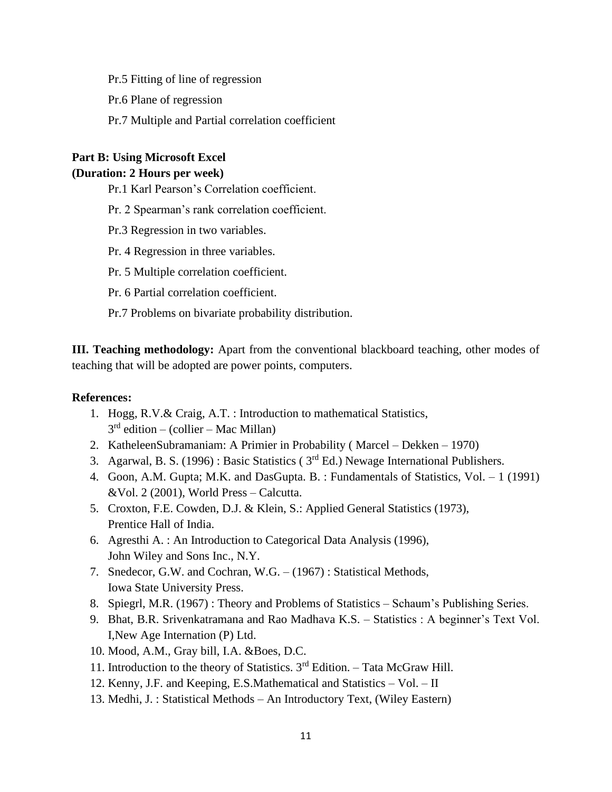Pr.5 Fitting of line of regression

Pr.6 Plane of regression

Pr.7 Multiple and Partial correlation coefficient

# **Part B: Using Microsoft Excel**

### **(Duration: 2 Hours per week)**

Pr.1 Karl Pearson's Correlation coefficient.

Pr. 2 Spearman's rank correlation coefficient.

Pr.3 Regression in two variables.

Pr. 4 Regression in three variables.

Pr. 5 Multiple correlation coefficient.

Pr. 6 Partial correlation coefficient.

Pr.7 Problems on bivariate probability distribution.

**III. Teaching methodology:** Apart from the conventional blackboard teaching, other modes of teaching that will be adopted are power points, computers.

#### **References:**

- 1. Hogg, R.V.& Craig, A.T. : Introduction to mathematical Statistics, 3 rd edition – (collier – Mac Millan)
- 2. KatheleenSubramaniam: A Primier in Probability ( Marcel Dekken 1970)
- 3. Agarwal, B. S. (1996): Basic Statistics ( $3<sup>rd</sup> Ed$ .) Newage International Publishers.
- 4. Goon, A.M. Gupta; M.K. and DasGupta. B. : Fundamentals of Statistics, Vol. 1 (1991) &Vol. 2 (2001), World Press – Calcutta.
- 5. Croxton, F.E. Cowden, D.J. & Klein, S.: Applied General Statistics (1973), Prentice Hall of India.
- 6. Agresthi A. : An Introduction to Categorical Data Analysis (1996), John Wiley and Sons Inc., N.Y.
- 7. Snedecor, G.W. and Cochran, W.G. (1967) : Statistical Methods, Iowa State University Press.
- 8. Spiegrl, M.R. (1967) : Theory and Problems of Statistics Schaum's Publishing Series.
- 9. Bhat, B.R. Srivenkatramana and Rao Madhava K.S. Statistics : A beginner's Text Vol. I,New Age Internation (P) Ltd.
- 10. Mood, A.M., Gray bill, I.A. &Boes, D.C.
- 11. Introduction to the theory of Statistics.  $3<sup>rd</sup>$  Edition. Tata McGraw Hill.
- 12. Kenny, J.F. and Keeping, E.S.Mathematical and Statistics Vol. II
- 13. Medhi, J. : Statistical Methods An Introductory Text, (Wiley Eastern)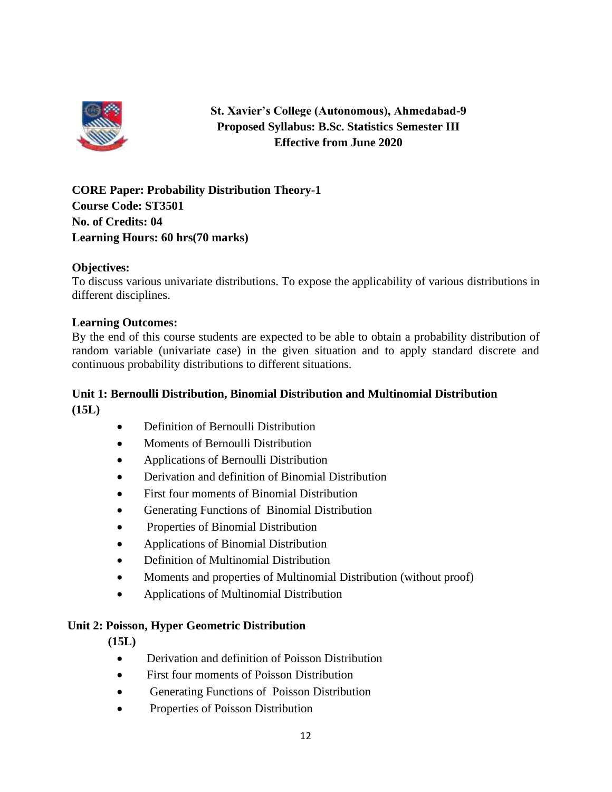

# **St. Xavier's College (Autonomous), Ahmedabad-9 Proposed Syllabus: B.Sc. Statistics Semester III Effective from June 2020**

**CORE Paper: Probability Distribution Theory-1 Course Code: ST3501 No. of Credits: 04 Learning Hours: 60 hrs(70 marks)**

# **Objectives:**

To discuss various univariate distributions. To expose the applicability of various distributions in different disciplines.

#### **Learning Outcomes:**

By the end of this course students are expected to be able to obtain a probability distribution of random variable (univariate case) in the given situation and to apply standard discrete and continuous probability distributions to different situations.

# **Unit 1: Bernoulli Distribution, Binomial Distribution and Multinomial Distribution (15L)**

- Definition of Bernoulli Distribution
- Moments of Bernoulli Distribution
- Applications of Bernoulli Distribution
- Derivation and definition of Binomial Distribution
- First four moments of Binomial Distribution
- Generating Functions of Binomial Distribution
- Properties of Binomial Distribution
- Applications of Binomial Distribution
- Definition of Multinomial Distribution
- Moments and properties of Multinomial Distribution (without proof)
- Applications of Multinomial Distribution

#### **Unit 2: Poisson, Hyper Geometric Distribution**

**(15L)**

- Derivation and definition of Poisson Distribution
- First four moments of Poisson Distribution
- Generating Functions of Poisson Distribution
- Properties of Poisson Distribution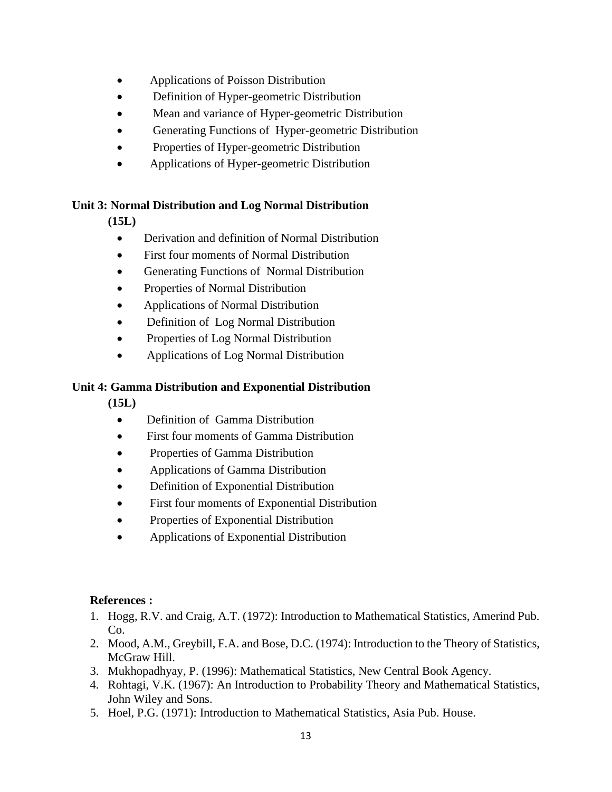- Applications of Poisson Distribution
- Definition of Hyper-geometric Distribution
- Mean and variance of Hyper-geometric Distribution
- Generating Functions of Hyper-geometric Distribution
- Properties of Hyper-geometric Distribution
- Applications of Hyper-geometric Distribution

# **Unit 3: Normal Distribution and Log Normal Distribution**

**(15L)**

- Derivation and definition of Normal Distribution
- First four moments of Normal Distribution
- Generating Functions of Normal Distribution
- Properties of Normal Distribution
- Applications of Normal Distribution
- Definition of Log Normal Distribution
- Properties of Log Normal Distribution
- Applications of Log Normal Distribution

# **Unit 4: Gamma Distribution and Exponential Distribution**

**(15L)**

- Definition of Gamma Distribution
- First four moments of Gamma Distribution
- Properties of Gamma Distribution
- Applications of Gamma Distribution
- Definition of Exponential Distribution
- First four moments of Exponential Distribution
- Properties of Exponential Distribution
- Applications of Exponential Distribution

# **References :**

- 1. Hogg, R.V. and Craig, A.T. (1972): Introduction to Mathematical Statistics, Amerind Pub. Co.
- 2. Mood, A.M., Greybill, F.A. and Bose, D.C. (1974): Introduction to the Theory of Statistics, McGraw Hill.
- 3. Mukhopadhyay, P. (1996): Mathematical Statistics, New Central Book Agency.
- 4. Rohtagi, V.K. (1967): An Introduction to Probability Theory and Mathematical Statistics, John Wiley and Sons.
- 5. Hoel, P.G. (1971): Introduction to Mathematical Statistics, Asia Pub. House.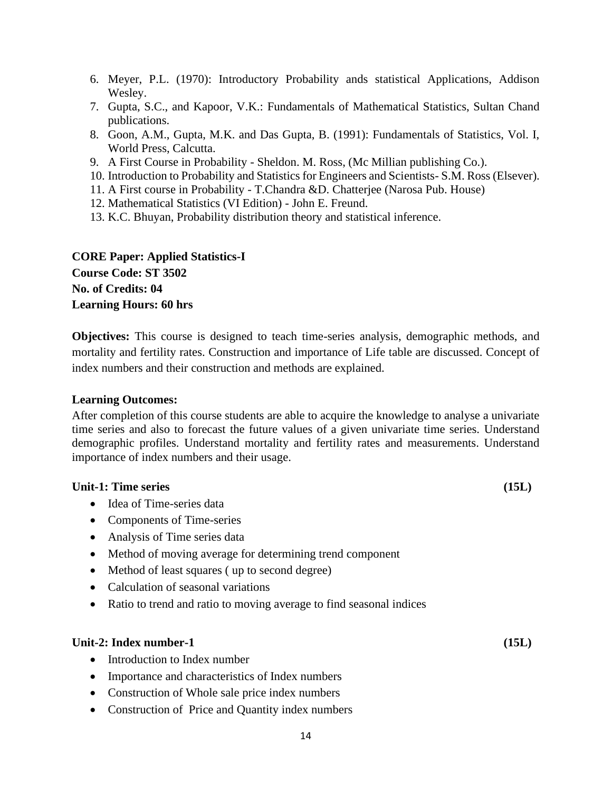- 6. Meyer, P.L. (1970): Introductory Probability ands statistical Applications, Addison Wesley.
- 7. Gupta, S.C., and Kapoor, V.K.: Fundamentals of Mathematical Statistics, Sultan Chand publications.
- 8. Goon, A.M., Gupta, M.K. and Das Gupta, B. (1991): Fundamentals of Statistics, Vol. I, World Press, Calcutta.
- 9. A First Course in Probability Sheldon. M. Ross, (Mc Millian publishing Co.).
- 10. Introduction to Probability and Statistics for Engineers and Scientists- S.M. Ross (Elsever).
- 11. A First course in Probability T.Chandra &D. Chatterjee (Narosa Pub. House)
- 12. Mathematical Statistics (VI Edition) John E. Freund.
- 13. K.C. Bhuyan, Probability distribution theory and statistical inference.

# **CORE Paper: Applied Statistics-I**

**Course Code: ST 3502 No. of Credits: 04 Learning Hours: 60 hrs**

**Objectives:** This course is designed to teach time-series analysis, demographic methods, and mortality and fertility rates. Construction and importance of Life table are discussed. Concept of index numbers and their construction and methods are explained.

#### **Learning Outcomes:**

After completion of this course students are able to acquire the knowledge to analyse a univariate time series and also to forecast the future values of a given univariate time series. Understand demographic profiles. Understand mortality and fertility rates and measurements. Understand importance of index numbers and their usage.

#### **Unit-1: Time series (15L)**

- Idea of Time-series data
- Components of Time-series
- Analysis of Time series data
- Method of moving average for determining trend component
- Method of least squares (up to second degree)
- Calculation of seasonal variations
- Ratio to trend and ratio to moving average to find seasonal indices

#### **Unit-2: Index number-1 (15L)**

- Introduction to Index number
- Importance and characteristics of Index numbers
- Construction of Whole sale price index numbers
- Construction of Price and Quantity index numbers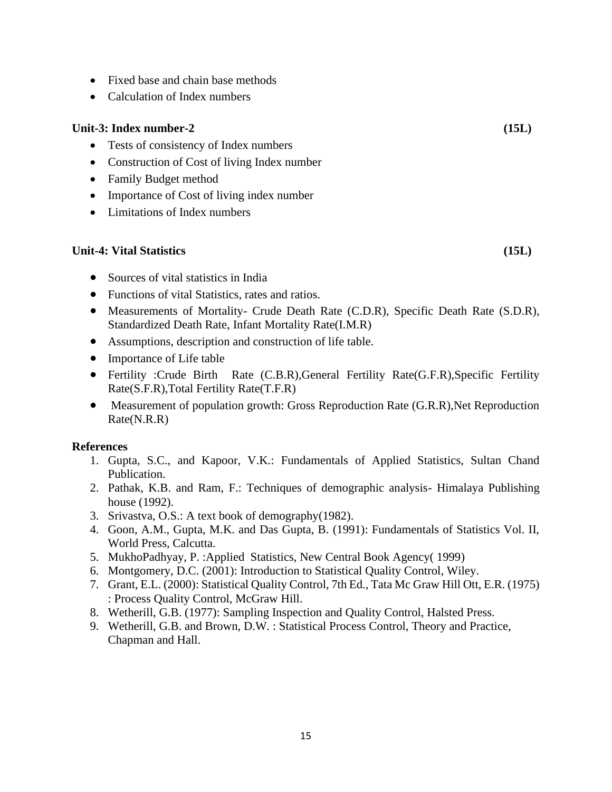- Fixed base and chain base methods
- Calculation of Index numbers

# **Unit-3: Index number-2 (15L)**

- Tests of consistency of Index numbers
- Construction of Cost of living Index number
- Family Budget method
- Importance of Cost of living index number
- Limitations of Index numbers

# **Unit-4: Vital Statistics (15L)**

- Sources of vital statistics in India
- Functions of vital Statistics, rates and ratios.
- Measurements of Mortality- Crude Death Rate (C.D.R), Specific Death Rate (S.D.R), Standardized Death Rate, Infant Mortality Rate(I.M.R)
- Assumptions, description and construction of life table.
- Importance of Life table
- Fertility :Crude Birth Rate (C.B.R),General Fertility Rate(G.F.R),Specific Fertility Rate(S.F.R),Total Fertility Rate(T.F.R)
- Measurement of population growth: Gross Reproduction Rate (G.R.R), Net Reproduction Rate(N.R.R)

# **References**

- 1. Gupta, S.C., and Kapoor, V.K.: Fundamentals of Applied Statistics, Sultan Chand Publication.
- 2. Pathak, K.B. and Ram, F.: Techniques of demographic analysis- Himalaya Publishing house (1992).
- 3. Srivastva, O.S.: A text book of demography(1982).
- 4. Goon, A.M., Gupta, M.K. and Das Gupta, B. (1991): Fundamentals of Statistics Vol. II, World Press, Calcutta.
- 5. MukhoPadhyay, P. :Applied Statistics, New Central Book Agency( 1999)
- 6. Montgomery, D.C. (2001): Introduction to Statistical Quality Control, Wiley.
- 7. Grant, E.L. (2000): Statistical Quality Control, 7th Ed., Tata Mc Graw Hill Ott, E.R. (1975) : Process Quality Control, McGraw Hill.
- 8. Wetherill, G.B. (1977): Sampling Inspection and Quality Control, Halsted Press.
- 9. Wetherill, G.B. and Brown, D.W. : Statistical Process Control, Theory and Practice, Chapman and Hall.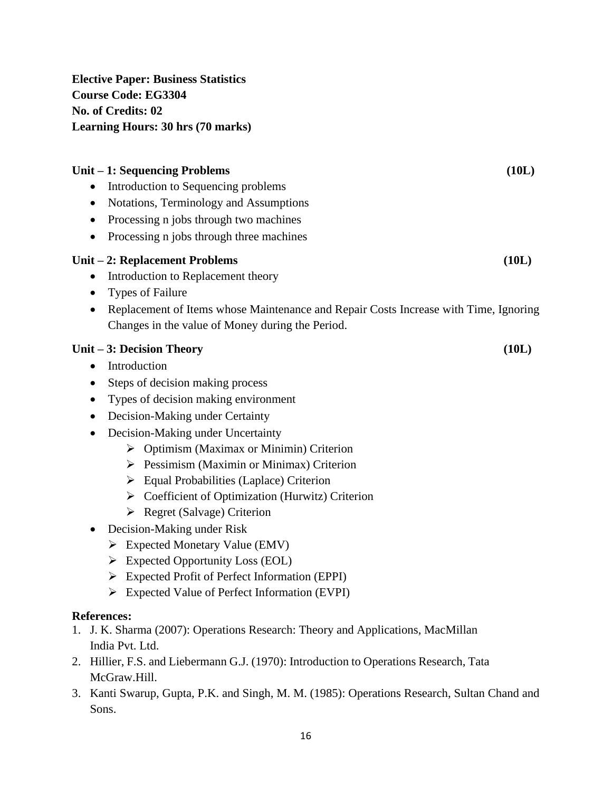**Elective Paper: Business Statistics Course Code: EG3304 No. of Credits: 02 Learning Hours: 30 hrs (70 marks)**

| Unit – 1: Sequencing Problems<br>Introduction to Sequencing problems<br>Notations, Terminology and Assumptions<br>Processing n jobs through two machines<br>Processing n jobs through three machines<br>٠                                                                                                                                                                                                                                                                                                                                                                                                                                                                                                                                                                              | (10L) |
|----------------------------------------------------------------------------------------------------------------------------------------------------------------------------------------------------------------------------------------------------------------------------------------------------------------------------------------------------------------------------------------------------------------------------------------------------------------------------------------------------------------------------------------------------------------------------------------------------------------------------------------------------------------------------------------------------------------------------------------------------------------------------------------|-------|
| Unit - 2: Replacement Problems<br>Introduction to Replacement theory<br>٠<br><b>Types of Failure</b><br>Replacement of Items whose Maintenance and Repair Costs Increase with Time, Ignoring<br>٠<br>Changes in the value of Money during the Period.                                                                                                                                                                                                                                                                                                                                                                                                                                                                                                                                  | (10L) |
| Unit - 3: Decision Theory<br>Introduction<br>$\bullet$<br>Steps of decision making process<br>Types of decision making environment<br>Decision-Making under Certainty<br>$\bullet$<br>Decision-Making under Uncertainty<br>$\bullet$<br>> Optimism (Maximax or Minimin) Criterion<br>$\triangleright$ Pessimism (Maximin or Minimax) Criterion<br>$\triangleright$ Equal Probabilities (Laplace) Criterion<br>$\triangleright$ Coefficient of Optimization (Hurwitz) Criterion<br>$\triangleright$ Regret (Salvage) Criterion<br>Decision-Making under Risk<br>$\bullet$<br><b>Expected Monetary Value (EMV)</b><br>➤<br><b>Expected Opportunity Loss (EOL)</b><br>➤<br><b>Expected Profit of Perfect Information (EPPI)</b><br>➤<br>Expected Value of Perfect Information (EVPI)<br>≻ | (10L) |
| <b>References:</b><br>1. J. K. Sharma (2007): Operations Research: Theory and Applications, MacMillan<br>India Pvt. Ltd.<br>2. Hillier, F.S. and Liebermann G.J. (1970): Introduction to Operations Research, Tata<br>McGraw.Hill.                                                                                                                                                                                                                                                                                                                                                                                                                                                                                                                                                     |       |

3. Kanti Swarup, Gupta, P.K. and Singh, M. M. (1985): Operations Research, Sultan Chand and Sons.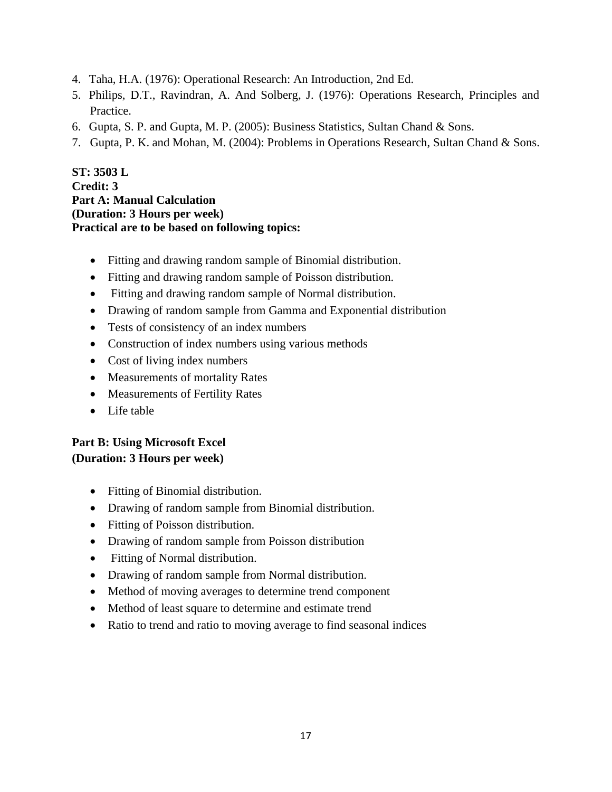- 4. Taha, H.A. (1976): Operational Research: An Introduction, 2nd Ed.
- 5. Philips, D.T., Ravindran, A. And Solberg, J. (1976): Operations Research, Principles and Practice.
- 6. Gupta, S. P. and Gupta, M. P. (2005): Business Statistics, Sultan Chand & Sons.
- 7. Gupta, P. K. and Mohan, M. (2004): Problems in Operations Research, Sultan Chand & Sons.

**ST: 3503 L Credit: 3 Part A: Manual Calculation (Duration: 3 Hours per week) Practical are to be based on following topics:**

- Fitting and drawing random sample of Binomial distribution.
- Fitting and drawing random sample of Poisson distribution.
- Fitting and drawing random sample of Normal distribution.
- Drawing of random sample from Gamma and Exponential distribution
- Tests of consistency of an index numbers
- Construction of index numbers using various methods
- Cost of living index numbers
- Measurements of mortality Rates
- Measurements of Fertility Rates
- Life table

# **Part B: Using Microsoft Excel (Duration: 3 Hours per week)**

- Fitting of Binomial distribution.
- Drawing of random sample from Binomial distribution.
- Fitting of Poisson distribution.
- Drawing of random sample from Poisson distribution
- Fitting of Normal distribution.
- Drawing of random sample from Normal distribution.
- Method of moving averages to determine trend component
- Method of least square to determine and estimate trend
- Ratio to trend and ratio to moving average to find seasonal indices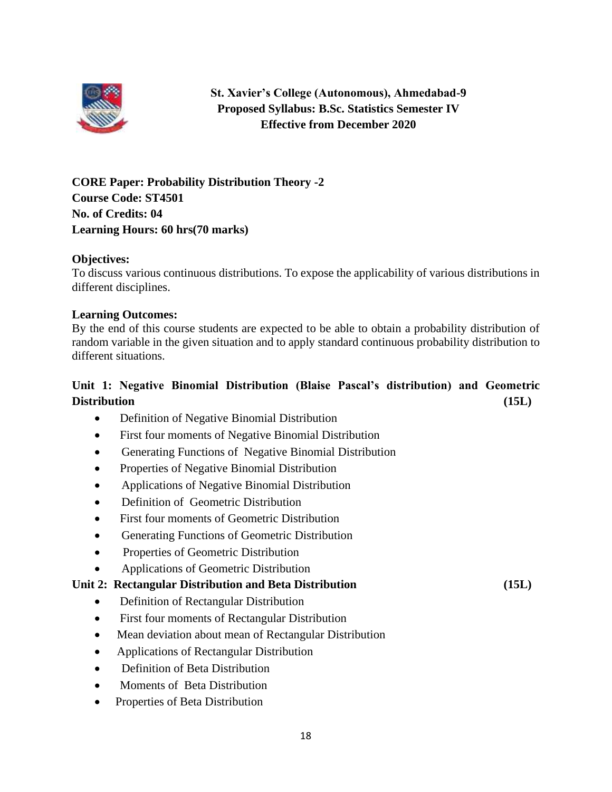

# **St. Xavier's College (Autonomous), Ahmedabad-9 Proposed Syllabus: B.Sc. Statistics Semester IV Effective from December 2020**

**CORE Paper: Probability Distribution Theory -2 Course Code: ST4501 No. of Credits: 04 Learning Hours: 60 hrs(70 marks)**

# **Objectives:**

To discuss various continuous distributions. To expose the applicability of various distributions in different disciplines.

#### **Learning Outcomes:**

By the end of this course students are expected to be able to obtain a probability distribution of random variable in the given situation and to apply standard continuous probability distribution to different situations.

# **Unit 1: Negative Binomial Distribution (Blaise Pascal's distribution) and Geometric Distribution (15L)**

- Definition of Negative Binomial Distribution
- First four moments of Negative Binomial Distribution
- Generating Functions of Negative Binomial Distribution
- Properties of Negative Binomial Distribution
- Applications of Negative Binomial Distribution
- Definition of Geometric Distribution
- First four moments of Geometric Distribution
- Generating Functions of Geometric Distribution
- Properties of Geometric Distribution
- Applications of Geometric Distribution

# **Unit 2: Rectangular Distribution and Beta Distribution (15L)**

- Definition of Rectangular Distribution
- First four moments of Rectangular Distribution
- Mean deviation about mean of Rectangular Distribution
- Applications of Rectangular Distribution
- Definition of Beta Distribution
- Moments of Beta Distribution
- Properties of Beta Distribution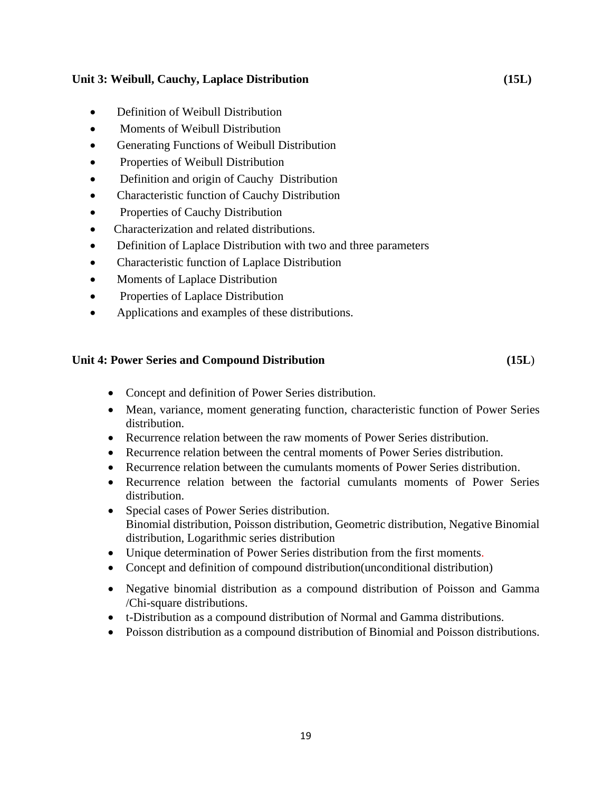# **Unit 3: Weibull, Cauchy, Laplace Distribution (15L)**

- Definition of Weibull Distribution
- Moments of Weibull Distribution
- Generating Functions of Weibull Distribution
- Properties of Weibull Distribution
- Definition and origin of Cauchy Distribution
- Characteristic function of Cauchy Distribution
- Properties of Cauchy Distribution
- Characterization and related distributions.
- Definition of Laplace Distribution with two and three parameters
- Characteristic function of Laplace Distribution
- Moments of Laplace Distribution
- Properties of Laplace Distribution
- Applications and examples of these distributions.

# **Unit 4: Power Series and Compound Distribution (15L**)

- Concept and definition of Power Series distribution.
- Mean, variance, moment generating function, characteristic function of Power Series distribution.
- Recurrence relation between the raw moments of Power Series distribution.
- Recurrence relation between the central moments of Power Series distribution.
- Recurrence relation between the cumulants moments of Power Series distribution.
- Recurrence relation between the factorial cumulants moments of Power Series distribution.
- Special cases of Power Series distribution. Binomial distribution, Poisson distribution, Geometric distribution, Negative Binomial distribution, Logarithmic series distribution
- Unique determination of Power Series distribution from the first moments.
- Concept and definition of compound distribution(unconditional distribution)
- Negative binomial distribution as a compound distribution of Poisson and Gamma /Chi-square distributions.
- t-Distribution as a compound distribution of Normal and Gamma distributions.
- Poisson distribution as a compound distribution of Binomial and Poisson distributions.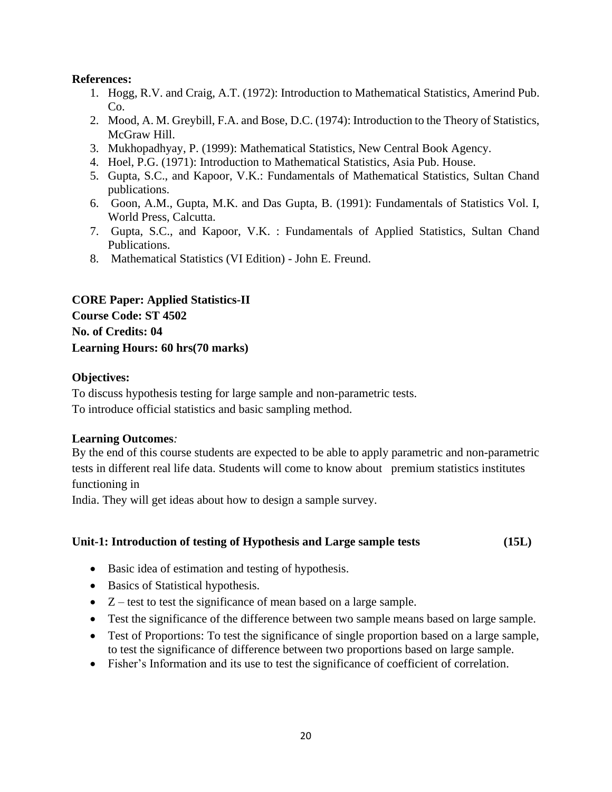# **References:**

- 1. Hogg, R.V. and Craig, A.T. (1972): Introduction to Mathematical Statistics, Amerind Pub. Co.
- 2. Mood, A. M. Greybill, F.A. and Bose, D.C. (1974): Introduction to the Theory of Statistics, McGraw Hill.
- 3. Mukhopadhyay, P. (1999): Mathematical Statistics, New Central Book Agency.
- 4. Hoel, P.G. (1971): Introduction to Mathematical Statistics, Asia Pub. House.
- 5. Gupta, S.C., and Kapoor, V.K.: Fundamentals of Mathematical Statistics, Sultan Chand publications.
- 6. Goon, A.M., Gupta, M.K. and Das Gupta, B. (1991): Fundamentals of Statistics Vol. I, World Press, Calcutta.
- 7. Gupta, S.C., and Kapoor, V.K. : Fundamentals of Applied Statistics, Sultan Chand Publications.
- 8. Mathematical Statistics (VI Edition) John E. Freund.

**CORE Paper: Applied Statistics-II Course Code: ST 4502 No. of Credits: 04 Learning Hours: 60 hrs(70 marks)**

# **Objectives:**

To discuss hypothesis testing for large sample and non-parametric tests. To introduce official statistics and basic sampling method.

#### **Learning Outcomes***:*

By the end of this course students are expected to be able to apply parametric and non-parametric tests in different real life data. Students will come to know about premium statistics institutes functioning in

India. They will get ideas about how to design a sample survey.

# **Unit-1: Introduction of testing of Hypothesis and Large sample tests (15L)**

- Basic idea of estimation and testing of hypothesis.
- Basics of Statistical hypothesis.
- Z test to test the significance of mean based on a large sample.
- Test the significance of the difference between two sample means based on large sample.
- Test of Proportions: To test the significance of single proportion based on a large sample, to test the significance of difference between two proportions based on large sample.
- Fisher's Information and its use to test the significance of coefficient of correlation.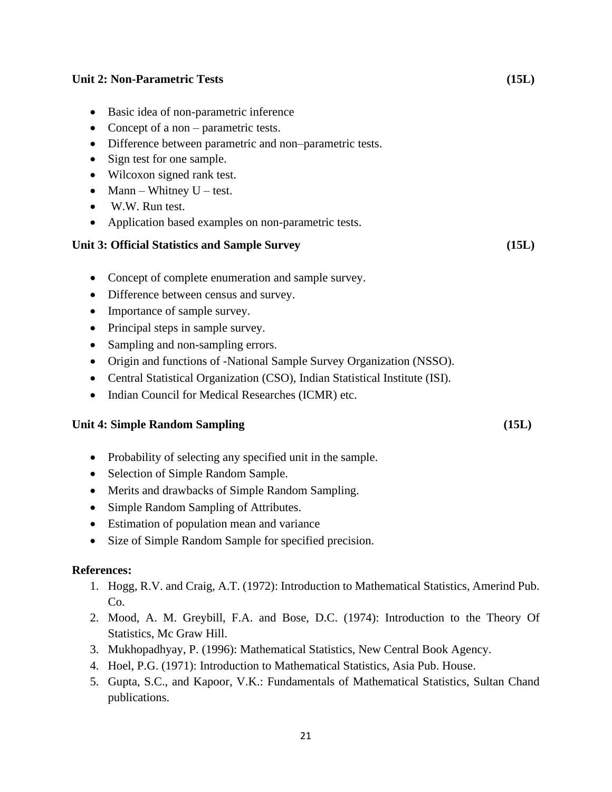# **Unit 2: Non-Parametric Tests (15L)** • Basic idea of non-parametric inference • Concept of a non – parametric tests. • Difference between parametric and non–parametric tests. • Sign test for one sample. • Wilcoxon signed rank test. • Mann – Whitney  $U - \text{test}$ . • W.W. Run test. • Application based examples on non-parametric tests. **Unit 3: Official Statistics and Sample Survey (15L)**  • Concept of complete enumeration and sample survey. • Difference between census and survey. • Importance of sample survey. • Principal steps in sample survey. • Sampling and non-sampling errors. • Origin and functions of -National Sample Survey Organization (NSSO).

- Central Statistical Organization (CSO), Indian Statistical Institute (ISI).
- Indian Council for Medical Researches (ICMR) etc.

# **Unit 4: Simple Random Sampling (15L)**

- Probability of selecting any specified unit in the sample.
- Selection of Simple Random Sample.
- Merits and drawbacks of Simple Random Sampling.
- Simple Random Sampling of Attributes.
- Estimation of population mean and variance
- Size of Simple Random Sample for specified precision.

# **References:**

- 1. Hogg, R.V. and Craig, A.T. (1972): Introduction to Mathematical Statistics, Amerind Pub. Co.
- 2. Mood, A. M. Greybill, F.A. and Bose, D.C. (1974): Introduction to the Theory Of Statistics, Mc Graw Hill.
- 3. Mukhopadhyay, P. (1996): Mathematical Statistics, New Central Book Agency.
- 4. Hoel, P.G. (1971): Introduction to Mathematical Statistics, Asia Pub. House.
- 5. Gupta, S.C., and Kapoor, V.K.: Fundamentals of Mathematical Statistics, Sultan Chand publications.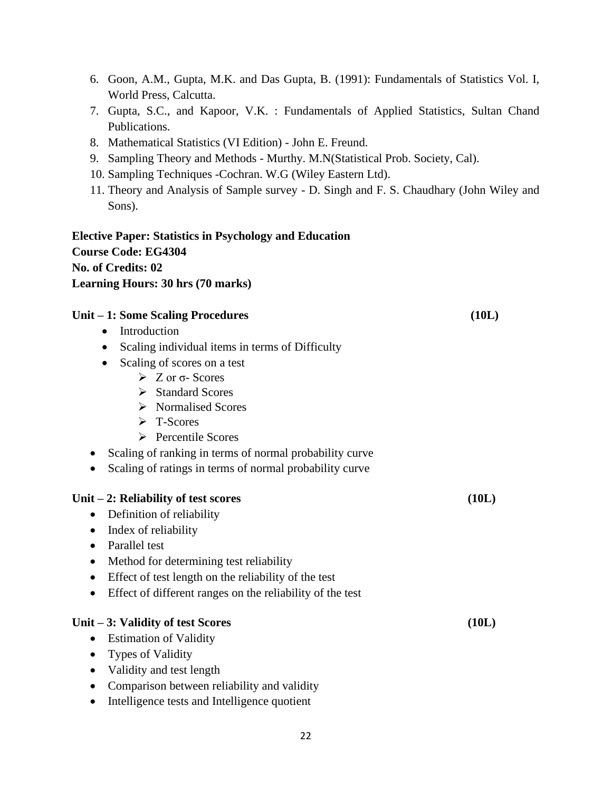- 6. Goon, A.M., Gupta, M.K. and Das Gupta, B. (1991): Fundamentals of Statistics Vol. I, World Press, Calcutta.
- 7. Gupta, S.C., and Kapoor, V.K. : Fundamentals of Applied Statistics, Sultan Chand Publications.
- 8. Mathematical Statistics (VI Edition) John E. Freund.
- 9. Sampling Theory and Methods Murthy. M.N(Statistical Prob. Society, Cal).
- 10. Sampling Techniques -Cochran. W.G (Wiley Eastern Ltd).
- 11. Theory and Analysis of Sample survey D. Singh and F. S. Chaudhary (John Wiley and Sons).

# **Elective Paper: Statistics in Psychology and Education Course Code: EG4304 No. of Credits: 02 Learning Hours: 30 hrs (70 marks)**

# **Unit – 1: Some Scaling Procedures (10L)**

- Introduction
- Scaling individual items in terms of Difficulty
- Scaling of scores on a test
	- $\geqslant$  Z or  $\sigma$  Scores
	- ➢ Standard Scores
	- ➢ Normalised Scores
	- ➢ T-Scores
	- ➢ Percentile Scores
- Scaling of ranking in terms of normal probability curve
- Scaling of ratings in terms of normal probability curve

#### **Unit – 2: Reliability of test scores (10L)**

- Definition of reliability
- Index of reliability
- Parallel test
- Method for determining test reliability
- Effect of test length on the reliability of the test
- Effect of different ranges on the reliability of the test

#### **Unit – 3: Validity of test Scores (10L)**

- Estimation of Validity
- Types of Validity
- Validity and test length
- Comparison between reliability and validity
- Intelligence tests and Intelligence quotient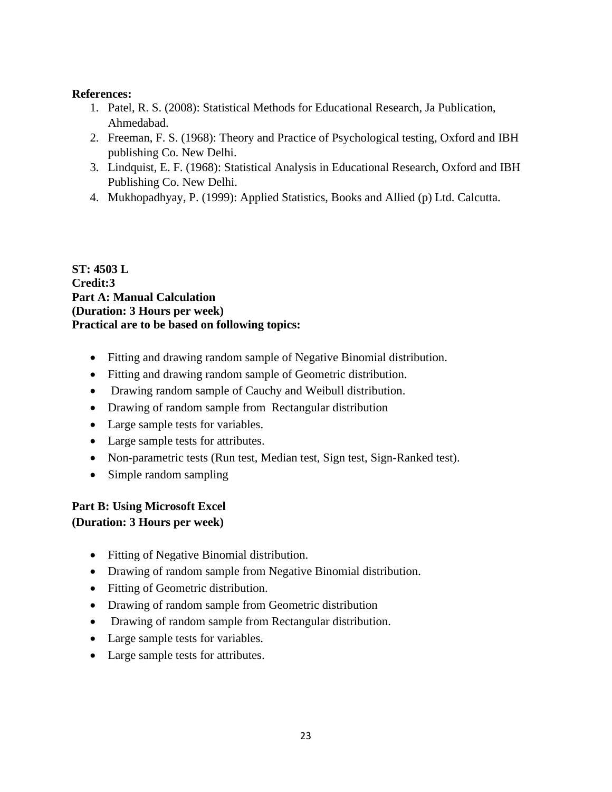# **References:**

- 1. Patel, R. S. (2008): Statistical Methods for Educational Research, Ja Publication, Ahmedabad.
- 2. Freeman, F. S. (1968): Theory and Practice of Psychological testing, Oxford and IBH publishing Co. New Delhi.
- 3. Lindquist, E. F. (1968): Statistical Analysis in Educational Research, Oxford and IBH Publishing Co. New Delhi.
- 4. Mukhopadhyay, P. (1999): Applied Statistics, Books and Allied (p) Ltd. Calcutta.

### **ST: 4503 L Credit:3 Part A: Manual Calculation (Duration: 3 Hours per week) Practical are to be based on following topics:**

- Fitting and drawing random sample of Negative Binomial distribution.
- Fitting and drawing random sample of Geometric distribution.
- Drawing random sample of Cauchy and Weibull distribution.
- Drawing of random sample from Rectangular distribution
- Large sample tests for variables.
- Large sample tests for attributes.
- Non-parametric tests (Run test, Median test, Sign test, Sign-Ranked test).
- Simple random sampling

# **Part B: Using Microsoft Excel**

# **(Duration: 3 Hours per week)**

- Fitting of Negative Binomial distribution.
- Drawing of random sample from Negative Binomial distribution.
- Fitting of Geometric distribution.
- Drawing of random sample from Geometric distribution
- Drawing of random sample from Rectangular distribution.
- Large sample tests for variables.
- Large sample tests for attributes.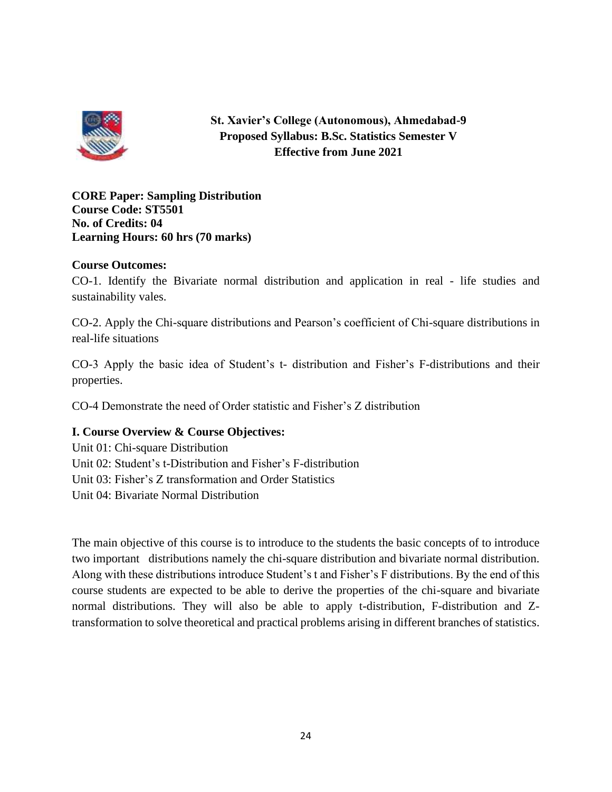

**St. Xavier's College (Autonomous), Ahmedabad-9 Proposed Syllabus: B.Sc. Statistics Semester V Effective from June 2021**

**CORE Paper: Sampling Distribution Course Code: ST5501 No. of Credits: 04 Learning Hours: 60 hrs (70 marks)**

# **Course Outcomes:**

CO-1. Identify the Bivariate normal distribution and application in real - life studies and sustainability vales.

CO-2. Apply the Chi-square distributions and Pearson's coefficient of Chi-square distributions in real-life situations

CO-3 Apply the basic idea of Student's t- distribution and Fisher's F-distributions and their properties.

CO-4 Demonstrate the need of Order statistic and Fisher's Z distribution

# **I. Course Overview & Course Objectives:**

Unit 01: Chi-square Distribution Unit 02: Student's t-Distribution and Fisher's F-distribution Unit 03: Fisher's Z transformation and Order Statistics Unit 04: Bivariate Normal Distribution

The main objective of this course is to introduce to the students the basic concepts of to introduce two important distributions namely the chi-square distribution and bivariate normal distribution. Along with these distributions introduce Student's t and Fisher's F distributions. By the end of this course students are expected to be able to derive the properties of the chi-square and bivariate normal distributions. They will also be able to apply t-distribution, F-distribution and Ztransformation to solve theoretical and practical problems arising in different branches of statistics.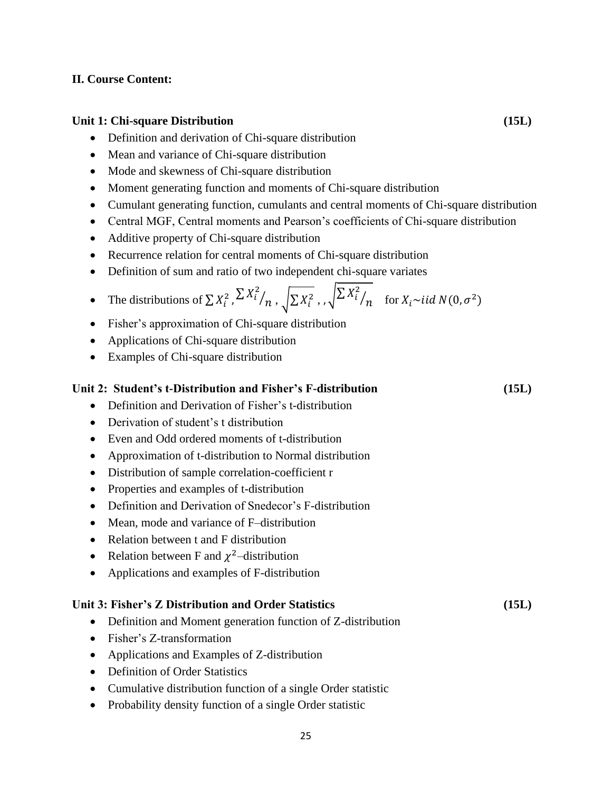# **II. Course Content:**

### **Unit 1: Chi-square Distribution (15L)**

- Definition and derivation of Chi-square distribution
- Mean and variance of Chi-square distribution
- Mode and skewness of Chi-square distribution
- Moment generating function and moments of Chi-square distribution
- Cumulant generating function, cumulants and central moments of Chi-square distribution
- Central MGF, Central moments and Pearson's coefficients of Chi-square distribution
- Additive property of Chi-square distribution
- Recurrence relation for central moments of Chi-square distribution
- Definition of sum and ratio of two independent chi-square variates

• The distributions of 
$$
\sum X_i^2
$$
,  $\sum X_i^2 / n$ ,  $\sqrt{\sum X_i^2}$ ,  $\sqrt{\sum X_i^2} / n$  for  $X_i \sim$  *iid*  $N(0, \sigma^2)$ 

- Fisher's approximation of Chi-square distribution
- Applications of Chi-square distribution
- Examples of Chi-square distribution

#### **Unit 2: Student's t-Distribution and Fisher's F-distribution (15L)**

- Definition and Derivation of Fisher's t-distribution
- Derivation of student's t distribution
- Even and Odd ordered moments of t-distribution
- Approximation of t-distribution to Normal distribution
- Distribution of sample correlation-coefficient r
- Properties and examples of t-distribution
- Definition and Derivation of Snedecor's F-distribution
- Mean, mode and variance of F–distribution
- Relation between t and F distribution
- Relation between F and  $\chi^2$ -distribution
- Applications and examples of F-distribution

#### **Unit 3: Fisher's Z Distribution and Order Statistics (15L)**

- Definition and Moment generation function of Z-distribution
- Fisher's Z-transformation
- Applications and Examples of Z-distribution
- Definition of Order Statistics
- Cumulative distribution function of a single Order statistic
- Probability density function of a single Order statistic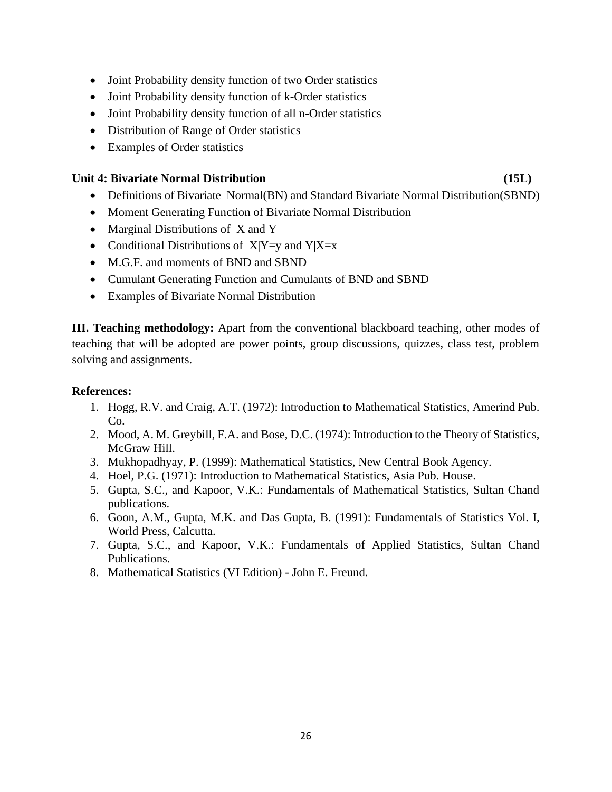- Joint Probability density function of two Order statistics
- Joint Probability density function of k-Order statistics
- Joint Probability density function of all n-Order statistics
- Distribution of Range of Order statistics
- Examples of Order statistics

# **Unit 4: Bivariate Normal Distribution (15L)**

- Definitions of Bivariate Normal(BN) and Standard Bivariate Normal Distribution(SBND)
- Moment Generating Function of Bivariate Normal Distribution
- Marginal Distributions of X and Y
- Conditional Distributions of  $X|Y=y$  and  $Y|X=x$
- M.G.F. and moments of BND and SBND
- Cumulant Generating Function and Cumulants of BND and SBND
- Examples of Bivariate Normal Distribution

**III. Teaching methodology:** Apart from the conventional blackboard teaching, other modes of teaching that will be adopted are power points, group discussions, quizzes, class test, problem solving and assignments.

# **References:**

- 1. Hogg, R.V. and Craig, A.T. (1972): Introduction to Mathematical Statistics, Amerind Pub. Co.
- 2. Mood, A. M. Greybill, F.A. and Bose, D.C. (1974): Introduction to the Theory of Statistics, McGraw Hill.
- 3. Mukhopadhyay, P. (1999): Mathematical Statistics, New Central Book Agency.
- 4. Hoel, P.G. (1971): Introduction to Mathematical Statistics, Asia Pub. House.
- 5. Gupta, S.C., and Kapoor, V.K.: Fundamentals of Mathematical Statistics, Sultan Chand publications.
- 6. Goon, A.M., Gupta, M.K. and Das Gupta, B. (1991): Fundamentals of Statistics Vol. I, World Press, Calcutta.
- 7. Gupta, S.C., and Kapoor, V.K.: Fundamentals of Applied Statistics, Sultan Chand Publications.
- 8. Mathematical Statistics (VI Edition) John E. Freund.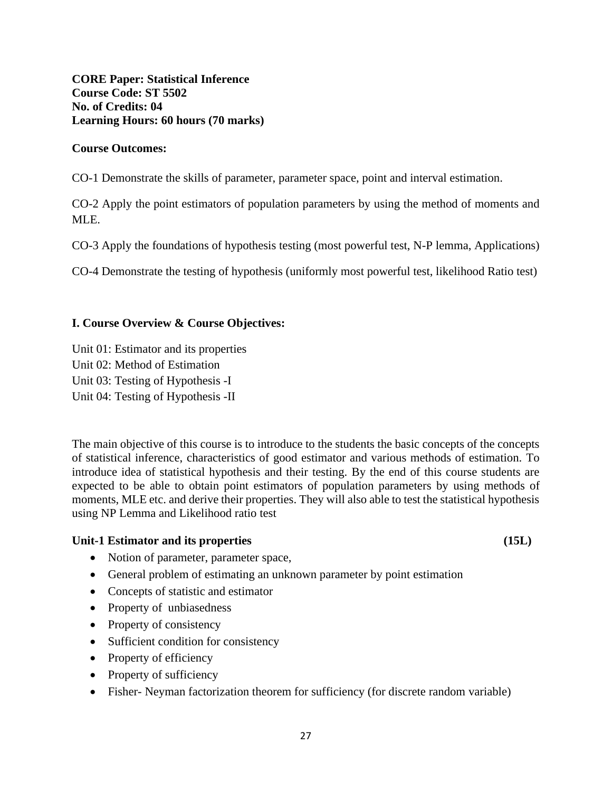**CORE Paper: Statistical Inference Course Code: ST 5502 No. of Credits: 04 Learning Hours: 60 hours (70 marks)**

#### **Course Outcomes:**

CO-1 Demonstrate the skills of parameter, parameter space, point and interval estimation.

CO-2 Apply the point estimators of population parameters by using the method of moments and MLE.

CO-3 Apply the foundations of hypothesis testing (most powerful test, N-P lemma, Applications)

CO-4 Demonstrate the testing of hypothesis (uniformly most powerful test, likelihood Ratio test)

#### **I. Course Overview & Course Objectives:**

Unit 01: Estimator and its properties Unit 02: Method of Estimation Unit 03: Testing of Hypothesis -I Unit 04: Testing of Hypothesis -II

The main objective of this course is to introduce to the students the basic concepts of the concepts of statistical inference, characteristics of good estimator and various methods of estimation. To introduce idea of statistical hypothesis and their testing. By the end of this course students are expected to be able to obtain point estimators of population parameters by using methods of moments, MLE etc. and derive their properties. They will also able to test the statistical hypothesis using NP Lemma and Likelihood ratio test

#### Unit-1 Estimator and its properties (15L)

- Notion of parameter, parameter space,
- General problem of estimating an unknown parameter by point estimation
- Concepts of statistic and estimator
- Property of unbiasedness
- Property of consistency
- Sufficient condition for consistency
- Property of efficiency
- Property of sufficiency
- Fisher- Neyman factorization theorem for sufficiency (for discrete random variable)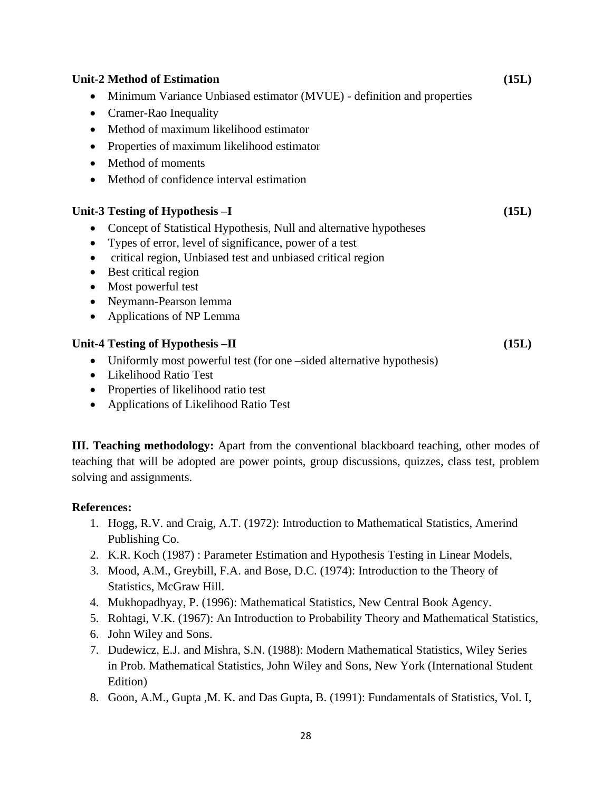#### **Unit-2 Method of Estimation (15L)**

- Minimum Variance Unbiased estimator (MVUE) definition and properties
- Cramer-Rao Inequality
- Method of maximum likelihood estimator
- Properties of maximum likelihood estimator
- Method of moments
- Method of confidence interval estimation

#### **Unit-3 Testing of Hypothesis –I (15L)**

- Concept of Statistical Hypothesis, Null and alternative hypotheses
- Types of error, level of significance, power of a test
- critical region, Unbiased test and unbiased critical region
- Best critical region
- Most powerful test
- Neymann-Pearson lemma
- Applications of NP Lemma

#### **Unit-4 Testing of Hypothesis –II (15L)**

- Uniformly most powerful test (for one –sided alternative hypothesis)
- Likelihood Ratio Test
- Properties of likelihood ratio test
- Applications of Likelihood Ratio Test

**III. Teaching methodology:** Apart from the conventional blackboard teaching, other modes of teaching that will be adopted are power points, group discussions, quizzes, class test, problem solving and assignments.

#### **References:**

- 1. Hogg, R.V. and Craig, A.T. (1972): Introduction to Mathematical Statistics, Amerind Publishing Co.
- 2. K.R. Koch (1987) : Parameter Estimation and Hypothesis Testing in Linear Models,
- 3. Mood, A.M., Greybill, F.A. and Bose, D.C. (1974): Introduction to the Theory of Statistics, McGraw Hill.
- 4. Mukhopadhyay, P. (1996): Mathematical Statistics, New Central Book Agency.
- 5. Rohtagi, V.K. (1967): An Introduction to Probability Theory and Mathematical Statistics,
- 6. John Wiley and Sons.
- 7. Dudewicz, E.J. and Mishra, S.N. (1988): Modern Mathematical Statistics, Wiley Series in Prob. Mathematical Statistics, John Wiley and Sons, New York (International Student Edition)
- 8. Goon, A.M., Gupta ,M. K. and Das Gupta, B. (1991): Fundamentals of Statistics, Vol. I,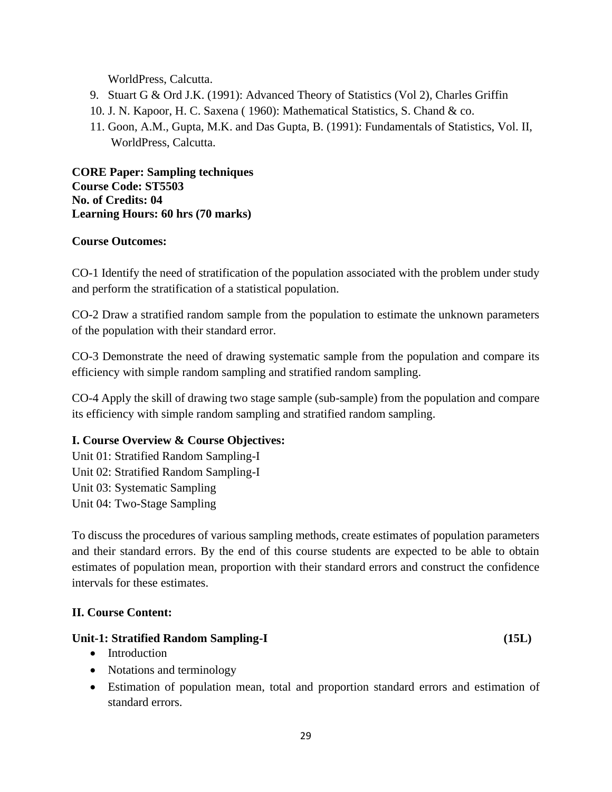WorldPress, Calcutta.

- 9. Stuart G & Ord J.K. (1991): Advanced Theory of Statistics (Vol 2), Charles Griffin
- 10. J. N. Kapoor, H. C. Saxena ( 1960): Mathematical Statistics, S. Chand & co.
- 11. Goon, A.M., Gupta, M.K. and Das Gupta, B. (1991): Fundamentals of Statistics, Vol. II, WorldPress, Calcutta.

**CORE Paper: Sampling techniques Course Code: ST5503 No. of Credits: 04 Learning Hours: 60 hrs (70 marks)**

# **Course Outcomes:**

CO-1 Identify the need of stratification of the population associated with the problem under study and perform the stratification of a statistical population.

CO-2 Draw a stratified random sample from the population to estimate the unknown parameters of the population with their standard error.

CO-3 Demonstrate the need of drawing systematic sample from the population and compare its efficiency with simple random sampling and stratified random sampling.

CO-4 Apply the skill of drawing two stage sample (sub-sample) from the population and compare its efficiency with simple random sampling and stratified random sampling.

# **I. Course Overview & Course Objectives:**

Unit 01: Stratified Random Sampling-I Unit 02: Stratified Random Sampling-I Unit 03: Systematic Sampling Unit 04: Two-Stage Sampling

To discuss the procedures of various sampling methods, create estimates of population parameters and their standard errors. By the end of this course students are expected to be able to obtain estimates of population mean, proportion with their standard errors and construct the confidence intervals for these estimates.

# **II. Course Content:**

#### **Unit-1: Stratified Random Sampling-I (15L)**

- Introduction
- Notations and terminology
- Estimation of population mean, total and proportion standard errors and estimation of standard errors.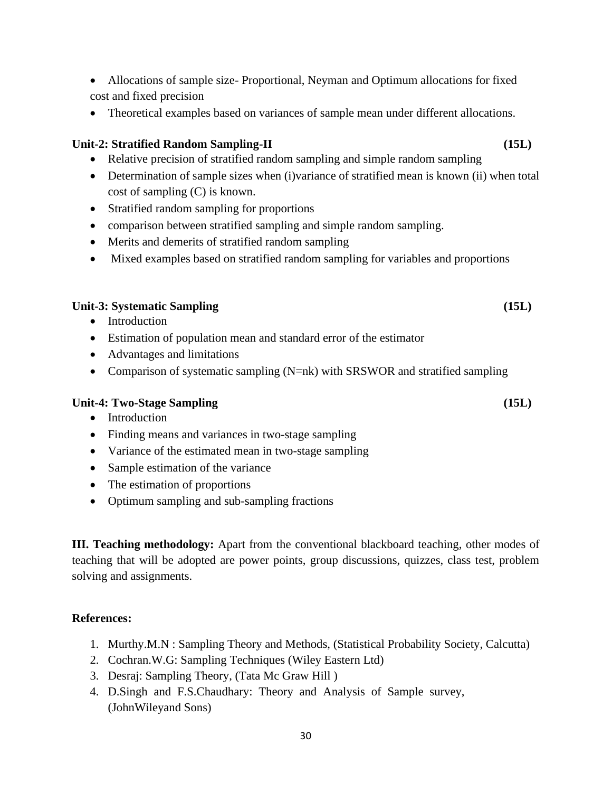- Allocations of sample size- Proportional, Neyman and Optimum allocations for fixed cost and fixed precision
- Theoretical examples based on variances of sample mean under different allocations.

# **Unit-2: Stratified Random Sampling-II (15L)**

- Relative precision of stratified random sampling and simple random sampling
- Determination of sample sizes when (i)variance of stratified mean is known (ii) when total cost of sampling (C) is known.
- Stratified random sampling for proportions
- comparison between stratified sampling and simple random sampling.
- Merits and demerits of stratified random sampling
- Mixed examples based on stratified random sampling for variables and proportions

# **Unit-3: Systematic Sampling (15L)**

- Introduction
- Estimation of population mean and standard error of the estimator
- Advantages and limitations
- Comparison of systematic sampling (N=nk) with SRSWOR and stratified sampling

# **Unit-4: Two-Stage Sampling (15L)**

- Introduction
- Finding means and variances in two-stage sampling
- Variance of the estimated mean in two-stage sampling
- Sample estimation of the variance
- The estimation of proportions
- Optimum sampling and sub-sampling fractions

**III. Teaching methodology:** Apart from the conventional blackboard teaching, other modes of teaching that will be adopted are power points, group discussions, quizzes, class test, problem solving and assignments.

# **References:**

- 1. Murthy.M.N : Sampling Theory and Methods, (Statistical Probability Society, Calcutta)
- 2. Cochran.W.G: Sampling Techniques (Wiley Eastern Ltd)
- 3. Desraj: Sampling Theory, (Tata Mc Graw Hill )
- 4. D.Singh and F.S.Chaudhary: Theory and Analysis of Sample survey, (JohnWileyand Sons)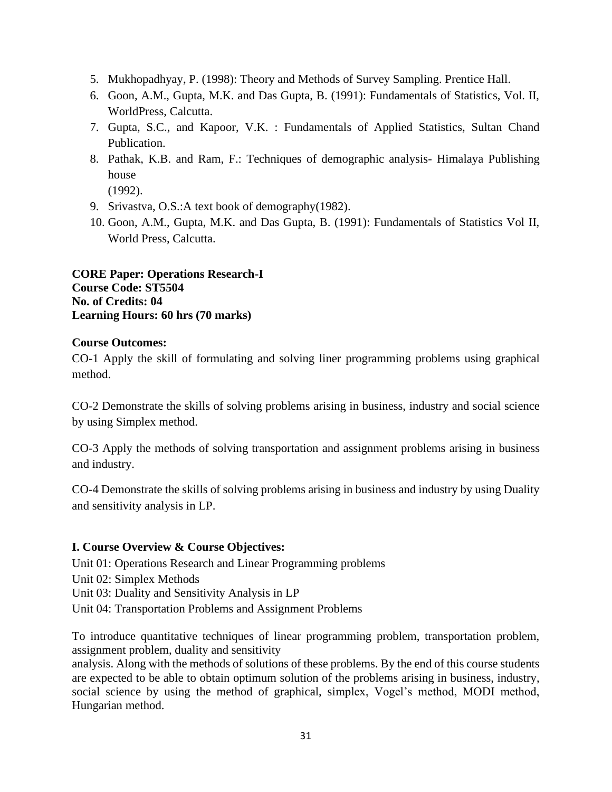- 5. Mukhopadhyay, P. (1998): Theory and Methods of Survey Sampling. Prentice Hall.
- 6. Goon, A.M., Gupta, M.K. and Das Gupta, B. (1991): Fundamentals of Statistics, Vol. II, WorldPress, Calcutta.
- 7. Gupta, S.C., and Kapoor, V.K. : Fundamentals of Applied Statistics, Sultan Chand Publication.
- 8. Pathak, K.B. and Ram, F.: Techniques of demographic analysis- Himalaya Publishing house

(1992).

- 9. Srivastva, O.S.:A text book of demography(1982).
- 10. Goon, A.M., Gupta, M.K. and Das Gupta, B. (1991): Fundamentals of Statistics Vol II, World Press, Calcutta.

**CORE Paper: Operations Research-I Course Code: ST5504 No. of Credits: 04 Learning Hours: 60 hrs (70 marks)**

# **Course Outcomes:**

CO-1 Apply the skill of formulating and solving liner programming problems using graphical method.

CO-2 Demonstrate the skills of solving problems arising in business, industry and social science by using Simplex method.

CO-3 Apply the methods of solving transportation and assignment problems arising in business and industry.

CO-4 Demonstrate the skills of solving problems arising in business and industry by using Duality and sensitivity analysis in LP.

#### **I. Course Overview & Course Objectives:**

Unit 01: Operations Research and Linear Programming problems

Unit 02: Simplex Methods

Unit 03: Duality and Sensitivity Analysis in LP

Unit 04: Transportation Problems and Assignment Problems

To introduce quantitative techniques of linear programming problem, transportation problem, assignment problem, duality and sensitivity

analysis. Along with the methods of solutions of these problems. By the end of this course students are expected to be able to obtain optimum solution of the problems arising in business, industry, social science by using the method of graphical, simplex, Vogel's method, MODI method, Hungarian method.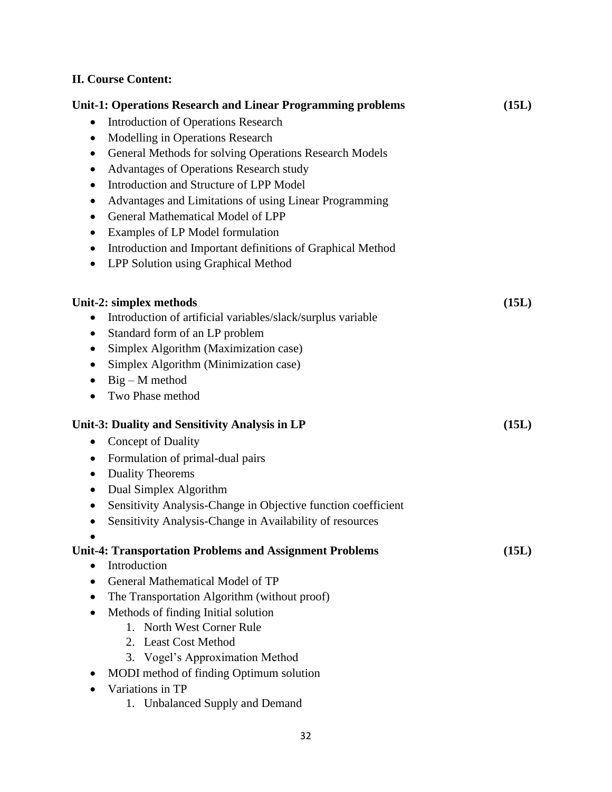# **II. Course Content:**

| Unit-1: Operations Research and Linear Programming problems                | (15L) |
|----------------------------------------------------------------------------|-------|
| <b>Introduction of Operations Research</b><br>$\bullet$                    |       |
| Modelling in Operations Research<br>$\bullet$                              |       |
| General Methods for solving Operations Research Models<br>$\bullet$        |       |
| Advantages of Operations Research study<br>$\bullet$                       |       |
| Introduction and Structure of LPP Model<br>٠                               |       |
| Advantages and Limitations of using Linear Programming<br>$\bullet$        |       |
| General Mathematical Model of LPP<br>$\bullet$                             |       |
| Examples of LP Model formulation                                           |       |
| Introduction and Important definitions of Graphical Method<br>$\bullet$    |       |
| LPP Solution using Graphical Method<br>$\bullet$                           |       |
|                                                                            |       |
| Unit-2: simplex methods                                                    | (15L) |
| Introduction of artificial variables/slack/surplus variable                |       |
| Standard form of an LP problem<br>$\bullet$                                |       |
| Simplex Algorithm (Maximization case)<br>$\bullet$                         |       |
| Simplex Algorithm (Minimization case)                                      |       |
| $Big - M$ method                                                           |       |
| Two Phase method                                                           |       |
| Unit-3: Duality and Sensitivity Analysis in LP                             | (15L) |
| Concept of Duality<br>$\bullet$                                            |       |
| Formulation of primal-dual pairs<br>$\bullet$                              |       |
| <b>Duality Theorems</b><br>$\bullet$                                       |       |
| Dual Simplex Algorithm<br>$\bullet$                                        |       |
| Sensitivity Analysis-Change in Objective function coefficient<br>$\bullet$ |       |
| Sensitivity Analysis-Change in Availability of resources                   |       |
|                                                                            |       |
| <b>Unit-4: Transportation Problems and Assignment Problems</b>             | (15L) |
| Introduction                                                               |       |
| General Mathematical Model of TP                                           |       |
| The Transportation Algorithm (without proof)                               |       |
| Methods of finding Initial solution                                        |       |
| 1. North West Corner Rule                                                  |       |
| 2. Least Cost Method                                                       |       |
| 3. Vogel's Approximation Method                                            |       |
| MODI method of finding Optimum solution                                    |       |
| Variations in TP                                                           |       |
| 1. Unbalanced Supply and Demand                                            |       |
|                                                                            |       |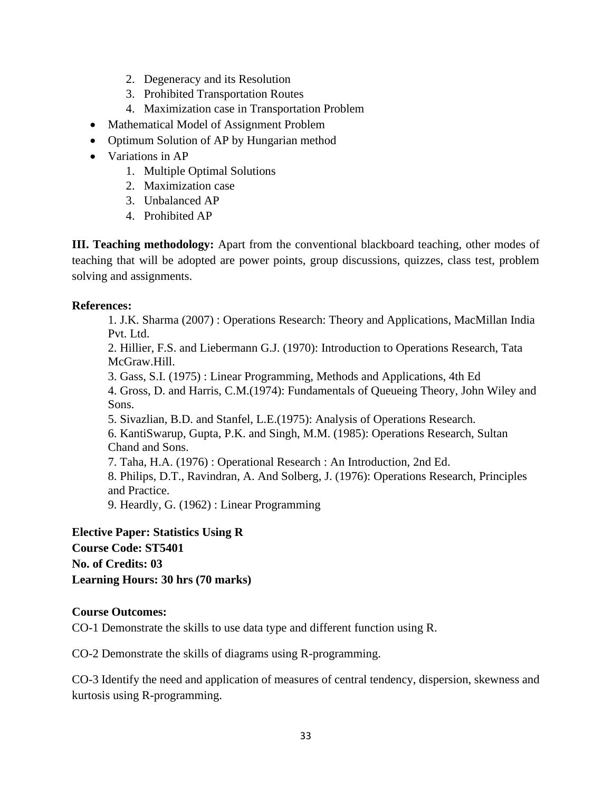- 2. Degeneracy and its Resolution
- 3. Prohibited Transportation Routes
- 4. Maximization case in Transportation Problem
- Mathematical Model of Assignment Problem
- Optimum Solution of AP by Hungarian method
- Variations in AP
	- 1. Multiple Optimal Solutions
	- 2. Maximization case
	- 3. Unbalanced AP
	- 4. Prohibited AP

**III. Teaching methodology:** Apart from the conventional blackboard teaching, other modes of teaching that will be adopted are power points, group discussions, quizzes, class test, problem solving and assignments.

# **References:**

1. J.K. Sharma (2007) : Operations Research: Theory and Applications, MacMillan India Pvt. Ltd.

2. Hillier, F.S. and Liebermann G.J. (1970): Introduction to Operations Research, Tata McGraw.Hill.

3. Gass, S.I. (1975) : Linear Programming, Methods and Applications, 4th Ed

4. Gross, D. and Harris, C.M.(1974): Fundamentals of Queueing Theory, John Wiley and Sons.

5. Sivazlian, B.D. and Stanfel, L.E.(1975): Analysis of Operations Research.

6. KantiSwarup, Gupta, P.K. and Singh, M.M. (1985): Operations Research, Sultan Chand and Sons.

7. Taha, H.A. (1976) : Operational Research : An Introduction, 2nd Ed.

8. Philips, D.T., Ravindran, A. And Solberg, J. (1976): Operations Research, Principles and Practice.

9. Heardly, G. (1962) : Linear Programming

**Elective Paper: Statistics Using R Course Code: ST5401 No. of Credits: 03 Learning Hours: 30 hrs (70 marks)**

# **Course Outcomes:**

CO-1 Demonstrate the skills to use data type and different function using R.

CO-2 Demonstrate the skills of diagrams using R-programming.

CO-3 Identify the need and application of measures of central tendency, dispersion, skewness and kurtosis using R-programming.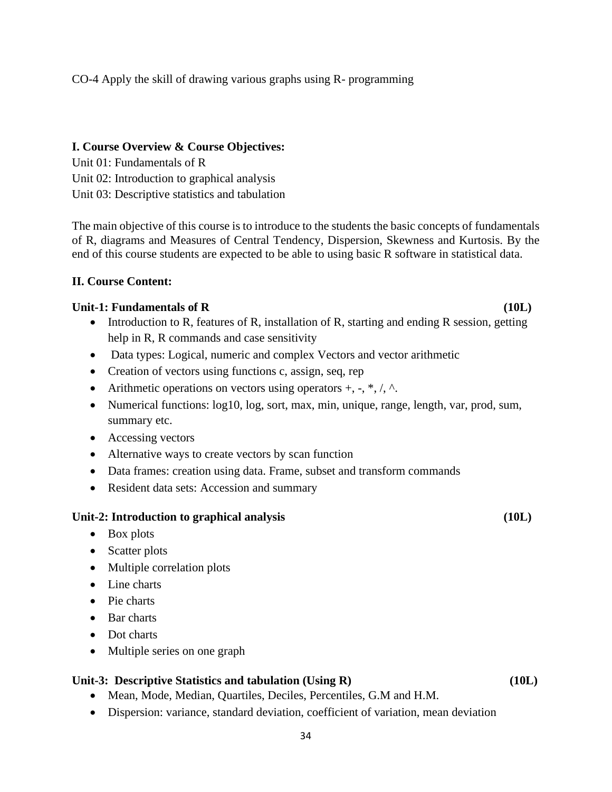# CO-4 Apply the skill of drawing various graphs using R- programming

#### **I. Course Overview & Course Objectives:**

Unit 01: Fundamentals of R Unit 02: Introduction to graphical analysis Unit 03: Descriptive statistics and tabulation

The main objective of this course is to introduce to the students the basic concepts of fundamentals of R, diagrams and Measures of Central Tendency, Dispersion, Skewness and Kurtosis. By the end of this course students are expected to be able to using basic R software in statistical data.

#### **II. Course Content:**

#### **Unit-1: Fundamentals of R (10L)**

- Introduction to R, features of R, installation of R, starting and ending R session, getting help in R, R commands and case sensitivity
- Data types: Logical, numeric and complex Vectors and vector arithmetic
- Creation of vectors using functions c, assign, seq, rep
- Arithmetic operations on vectors using operators  $+, \cdot, *, \cdot, \wedge$ .
- Numerical functions:  $log10$ ,  $log$ , sort, max, min, unique, range, length, var, prod, sum, summary etc.
- Accessing vectors
- Alternative ways to create vectors by scan function
- Data frames: creation using data. Frame, subset and transform commands
- Resident data sets: Accession and summary

#### **Unit-2: Introduction to graphical analysis (10L)**

- Box plots
- Scatter plots
- Multiple correlation plots
- Line charts
- Pie charts
- Bar charts
- Dot charts
- Multiple series on one graph

#### **Unit-3: Descriptive Statistics and tabulation (Using R) (10L)**

- Mean, Mode, Median, Quartiles, Deciles, Percentiles, G.M and H.M.
- Dispersion: variance, standard deviation, coefficient of variation, mean deviation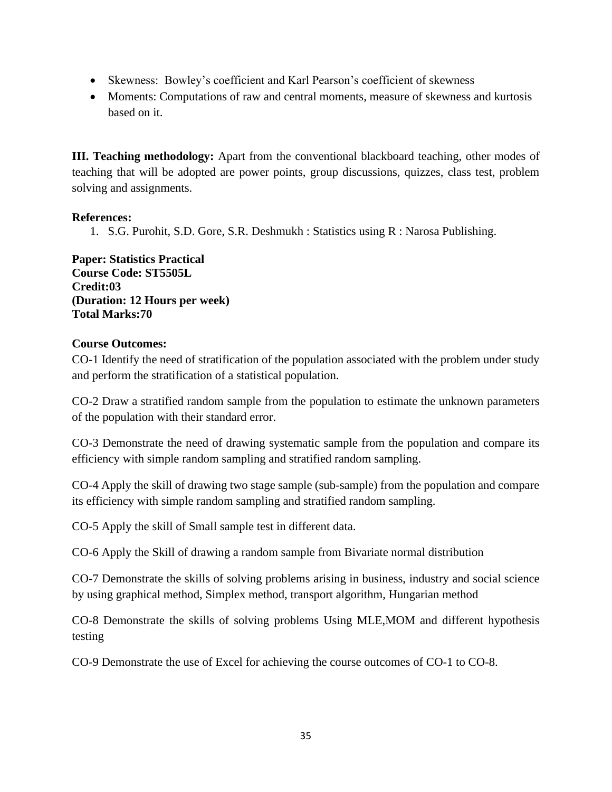- Skewness: Bowley's coefficient and Karl Pearson's coefficient of skewness
- Moments: Computations of raw and central moments, measure of skewness and kurtosis based on it.

**III. Teaching methodology:** Apart from the conventional blackboard teaching, other modes of teaching that will be adopted are power points, group discussions, quizzes, class test, problem solving and assignments.

# **References:**

1. S.G. Purohit, S.D. Gore, S.R. Deshmukh : Statistics using R : Narosa Publishing.

**Paper: Statistics Practical Course Code: ST5505L Credit:03 (Duration: 12 Hours per week) Total Marks:70**

# **Course Outcomes:**

CO-1 Identify the need of stratification of the population associated with the problem under study and perform the stratification of a statistical population.

CO-2 Draw a stratified random sample from the population to estimate the unknown parameters of the population with their standard error.

CO-3 Demonstrate the need of drawing systematic sample from the population and compare its efficiency with simple random sampling and stratified random sampling.

CO-4 Apply the skill of drawing two stage sample (sub-sample) from the population and compare its efficiency with simple random sampling and stratified random sampling.

CO-5 Apply the skill of Small sample test in different data.

CO-6 Apply the Skill of drawing a random sample from Bivariate normal distribution

CO-7 Demonstrate the skills of solving problems arising in business, industry and social science by using graphical method, Simplex method, transport algorithm, Hungarian method

CO-8 Demonstrate the skills of solving problems Using MLE,MOM and different hypothesis testing

CO-9 Demonstrate the use of Excel for achieving the course outcomes of CO-1 to CO-8.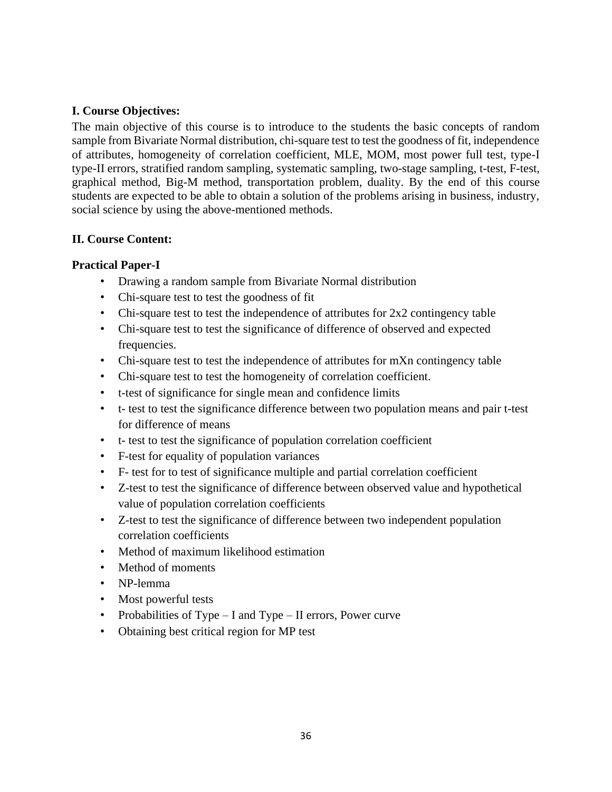# **I. Course Objectives:**

The main objective of this course is to introduce to the students the basic concepts of random sample from Bivariate Normal distribution, chi-square test to test the goodness of fit, independence of attributes, homogeneity of correlation coefficient, MLE, MOM, most power full test, type-I type-II errors, stratified random sampling, systematic sampling, two-stage sampling, t-test, F-test, graphical method, Big-M method, transportation problem, duality. By the end of this course students are expected to be able to obtain a solution of the problems arising in business, industry, social science by using the above-mentioned methods.

# **II. Course Content:**

# **Practical Paper-I**

- Drawing a random sample from Bivariate Normal distribution
- Chi-square test to test the goodness of fit
- Chi-square test to test the independence of attributes for 2x2 contingency table
- Chi-square test to test the significance of difference of observed and expected frequencies.
- Chi-square test to test the independence of attributes for mXn contingency table
- Chi-square test to test the homogeneity of correlation coefficient.
- t-test of significance for single mean and confidence limits
- t- test to test the significance difference between two population means and pair t-test for difference of means
- t- test to test the significance of population correlation coefficient
- F-test for equality of population variances
- F- test for to test of significance multiple and partial correlation coefficient
- Z-test to test the significance of difference between observed value and hypothetical value of population correlation coefficients
- Z-test to test the significance of difference between two independent population correlation coefficients
- Method of maximum likelihood estimation
- Method of moments
- NP-lemma
- Most powerful tests
- Probabilities of Type I and Type II errors, Power curve
- Obtaining best critical region for MP test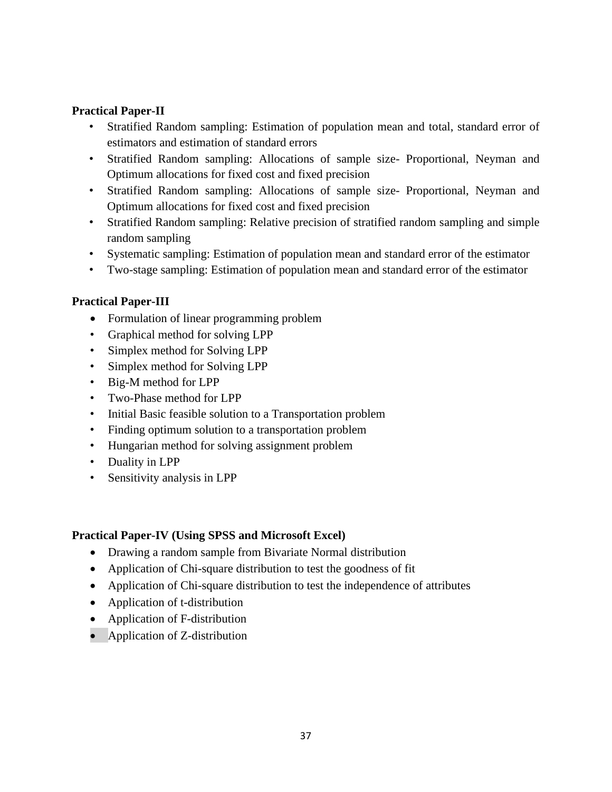# **Practical Paper-II**

- Stratified Random sampling: Estimation of population mean and total, standard error of estimators and estimation of standard errors
- Stratified Random sampling: Allocations of sample size- Proportional, Neyman and Optimum allocations for fixed cost and fixed precision
- Stratified Random sampling: Allocations of sample size- Proportional, Neyman and Optimum allocations for fixed cost and fixed precision
- Stratified Random sampling: Relative precision of stratified random sampling and simple random sampling
- Systematic sampling: Estimation of population mean and standard error of the estimator
- Two-stage sampling: Estimation of population mean and standard error of the estimator

# **Practical Paper-III**

- Formulation of linear programming problem
- Graphical method for solving LPP
- Simplex method for Solving LPP
- Simplex method for Solving LPP
- Big-M method for LPP
- Two-Phase method for LPP
- Initial Basic feasible solution to a Transportation problem
- Finding optimum solution to a transportation problem
- Hungarian method for solving assignment problem
- Duality in LPP
- Sensitivity analysis in LPP

#### **Practical Paper-IV (Using SPSS and Microsoft Excel)**

- Drawing a random sample from Bivariate Normal distribution
- Application of Chi-square distribution to test the goodness of fit
- Application of Chi-square distribution to test the independence of attributes
- Application of t-distribution
- Application of F-distribution
- Application of Z-distribution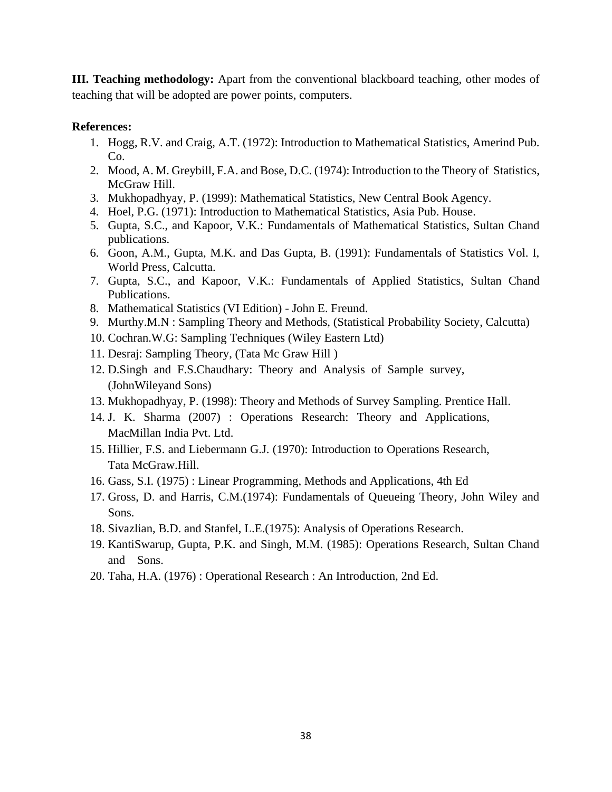**III. Teaching methodology:** Apart from the conventional blackboard teaching, other modes of teaching that will be adopted are power points, computers.

# **References:**

- 1. Hogg, R.V. and Craig, A.T. (1972): Introduction to Mathematical Statistics, Amerind Pub. C<sub>o</sub>
- 2. Mood, A. M. Greybill, F.A. and Bose, D.C. (1974): Introduction to the Theory of Statistics, McGraw Hill.
- 3. Mukhopadhyay, P. (1999): Mathematical Statistics, New Central Book Agency.
- 4. Hoel, P.G. (1971): Introduction to Mathematical Statistics, Asia Pub. House.
- 5. Gupta, S.C., and Kapoor, V.K.: Fundamentals of Mathematical Statistics, Sultan Chand publications.
- 6. Goon, A.M., Gupta, M.K. and Das Gupta, B. (1991): Fundamentals of Statistics Vol. I, World Press, Calcutta.
- 7. Gupta, S.C., and Kapoor, V.K.: Fundamentals of Applied Statistics, Sultan Chand Publications.
- 8. Mathematical Statistics (VI Edition) John E. Freund.
- 9. Murthy.M.N : Sampling Theory and Methods, (Statistical Probability Society, Calcutta)
- 10. Cochran.W.G: Sampling Techniques (Wiley Eastern Ltd)
- 11. Desraj: Sampling Theory, (Tata Mc Graw Hill )
- 12. D.Singh and F.S.Chaudhary: Theory and Analysis of Sample survey, (JohnWileyand Sons)
- 13. Mukhopadhyay, P. (1998): Theory and Methods of Survey Sampling. Prentice Hall.
- 14. J. K. Sharma (2007) : Operations Research: Theory and Applications, MacMillan India Pvt. Ltd.
- 15. Hillier, F.S. and Liebermann G.J. (1970): Introduction to Operations Research, Tata McGraw.Hill.
- 16. Gass, S.I. (1975) : Linear Programming, Methods and Applications, 4th Ed
- 17. Gross, D. and Harris, C.M.(1974): Fundamentals of Queueing Theory, John Wiley and Sons.
- 18. Sivazlian, B.D. and Stanfel, L.E.(1975): Analysis of Operations Research.
- 19. KantiSwarup, Gupta, P.K. and Singh, M.M. (1985): Operations Research, Sultan Chand and Sons.
- 20. Taha, H.A. (1976) : Operational Research : An Introduction, 2nd Ed.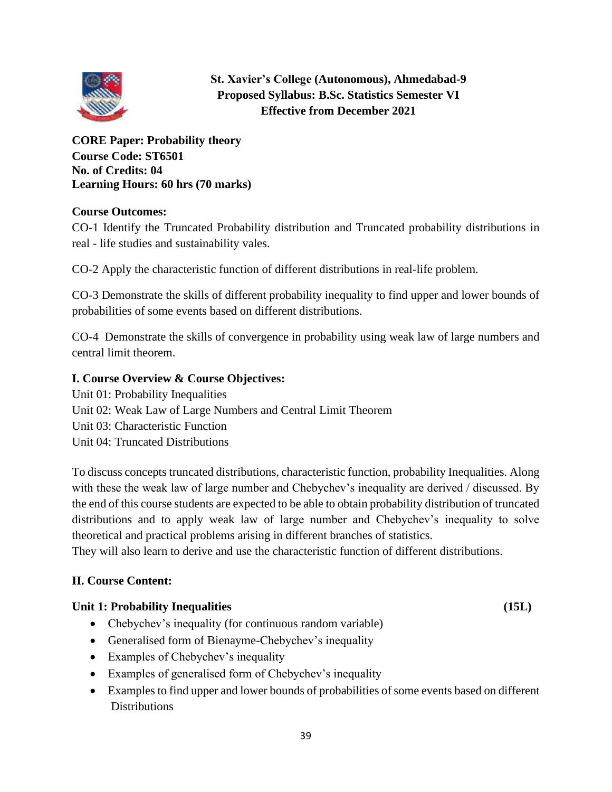

**St. Xavier's College (Autonomous), Ahmedabad-9 Proposed Syllabus: B.Sc. Statistics Semester VI Effective from December 2021**

**CORE Paper: Probability theory Course Code: ST6501 No. of Credits: 04 Learning Hours: 60 hrs (70 marks)**

# **Course Outcomes:**

CO-1 Identify the Truncated Probability distribution and Truncated probability distributions in real - life studies and sustainability vales.

CO-2 Apply the characteristic function of different distributions in real-life problem.

CO-3 Demonstrate the skills of different probability inequality to find upper and lower bounds of probabilities of some events based on different distributions.

CO-4 Demonstrate the skills of convergence in probability using weak law of large numbers and central limit theorem.

# **I. Course Overview & Course Objectives:**

Unit 01: Probability Inequalities Unit 02: Weak Law of Large Numbers and Central Limit Theorem Unit 03: Characteristic Function Unit 04: Truncated Distributions

To discuss concepts truncated distributions, characteristic function, probability Inequalities. Along with these the weak law of large number and Chebychev's inequality are derived / discussed. By the end of this course students are expected to be able to obtain probability distribution of truncated distributions and to apply weak law of large number and Chebychev's inequality to solve theoretical and practical problems arising in different branches of statistics.

They will also learn to derive and use the characteristic function of different distributions.

# **II. Course Content:**

# **Unit 1: Probability Inequalities (15L)**

- Chebychev's inequality (for continuous random variable)
- Generalised form of Bienayme-Chebychev's inequality
- Examples of Chebychev's inequality
- Examples of generalised form of Chebychev's inequality
- Examples to find upper and lower bounds of probabilities of some events based on different **Distributions**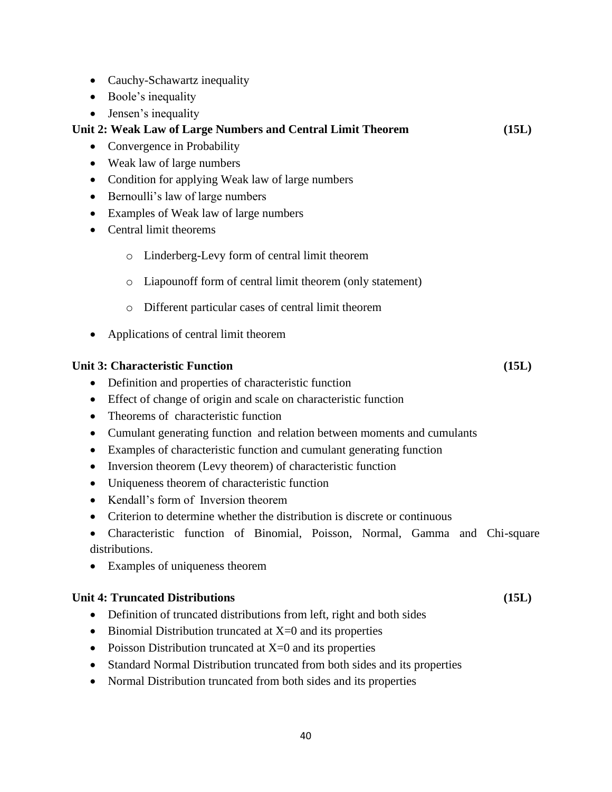- Cauchy-Schawartz inequality
- Boole's inequality
- Jensen's inequality

# **Unit 2: Weak Law of Large Numbers and Central Limit Theorem (15L)**

- Convergence in Probability
- Weak law of large numbers
- Condition for applying Weak law of large numbers
- Bernoulli's law of large numbers
- Examples of Weak law of large numbers
- Central limit theorems
	- o Linderberg-Levy form of central limit theorem
	- o Liapounoff form of central limit theorem (only statement)
	- o Different particular cases of central limit theorem
- Applications of central limit theorem

#### **Unit 3: Characteristic Function (15L)**

- Definition and properties of characteristic function
- Effect of change of origin and scale on characteristic function
- Theorems of characteristic function
- Cumulant generating function and relation between moments and cumulants
- Examples of characteristic function and cumulant generating function
- Inversion theorem (Levy theorem) of characteristic function
- Uniqueness theorem of characteristic function
- Kendall's form of Inversion theorem
- Criterion to determine whether the distribution is discrete or continuous
- Characteristic function of Binomial, Poisson, Normal, Gamma and Chi-square distributions.
- Examples of uniqueness theorem

#### **Unit 4: Truncated Distributions (15L)**

- Definition of truncated distributions from left, right and both sides
- Binomial Distribution truncated at  $X=0$  and its properties
- Poisson Distribution truncated at  $X=0$  and its properties
- Standard Normal Distribution truncated from both sides and its properties
- Normal Distribution truncated from both sides and its properties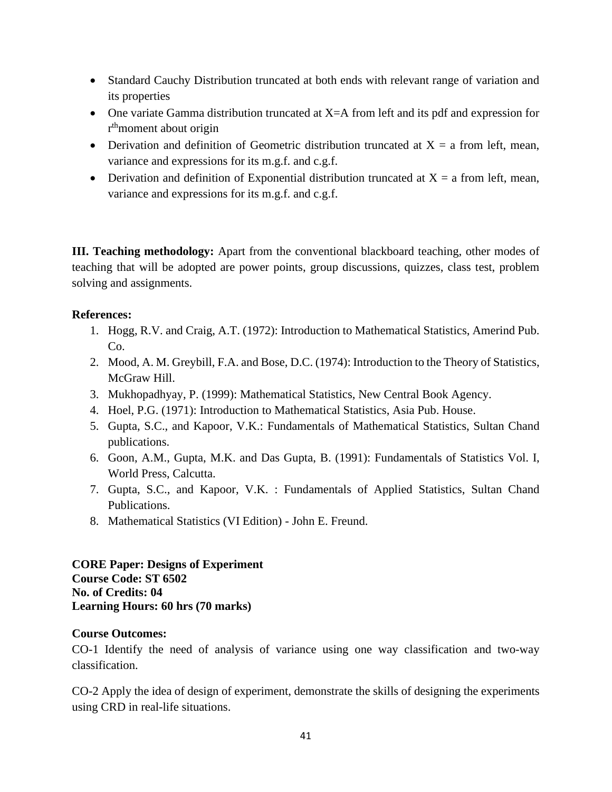- Standard Cauchy Distribution truncated at both ends with relevant range of variation and its properties
- One variate Gamma distribution truncated at X=A from left and its pdf and expression for r<sup>th</sup>moment about origin
- Derivation and definition of Geometric distribution truncated at  $X = a$  from left, mean, variance and expressions for its m.g.f. and c.g.f.
- Derivation and definition of Exponential distribution truncated at  $X = a$  from left, mean, variance and expressions for its m.g.f. and c.g.f.

**III. Teaching methodology:** Apart from the conventional blackboard teaching, other modes of teaching that will be adopted are power points, group discussions, quizzes, class test, problem solving and assignments.

# **References:**

- 1. Hogg, R.V. and Craig, A.T. (1972): Introduction to Mathematical Statistics, Amerind Pub. Co.
- 2. Mood, A. M. Greybill, F.A. and Bose, D.C. (1974): Introduction to the Theory of Statistics, McGraw Hill.
- 3. Mukhopadhyay, P. (1999): Mathematical Statistics, New Central Book Agency.
- 4. Hoel, P.G. (1971): Introduction to Mathematical Statistics, Asia Pub. House.
- 5. Gupta, S.C., and Kapoor, V.K.: Fundamentals of Mathematical Statistics, Sultan Chand publications.
- 6. Goon, A.M., Gupta, M.K. and Das Gupta, B. (1991): Fundamentals of Statistics Vol. I, World Press, Calcutta.
- 7. Gupta, S.C., and Kapoor, V.K. : Fundamentals of Applied Statistics, Sultan Chand Publications.
- 8. Mathematical Statistics (VI Edition) John E. Freund.

**CORE Paper: Designs of Experiment Course Code: ST 6502 No. of Credits: 04 Learning Hours: 60 hrs (70 marks)** 

# **Course Outcomes:**

CO-1 Identify the need of analysis of variance using one way classification and two-way classification.

CO-2 Apply the idea of design of experiment, demonstrate the skills of designing the experiments using CRD in real-life situations.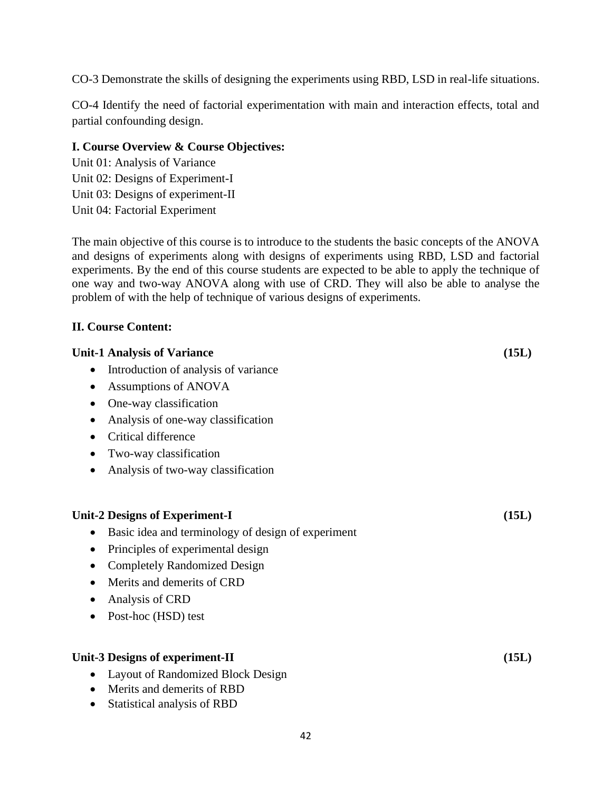CO-3 Demonstrate the skills of designing the experiments using RBD, LSD in real-life situations.

CO-4 Identify the need of factorial experimentation with main and interaction effects, total and partial confounding design.

# **I. Course Overview & Course Objectives:**

Unit 01: Analysis of Variance Unit 02: Designs of Experiment-I Unit 03: Designs of experiment-II Unit 04: Factorial Experiment

The main objective of this course is to introduce to the students the basic concepts of the ANOVA and designs of experiments along with designs of experiments using RBD, LSD and factorial experiments. By the end of this course students are expected to be able to apply the technique of one way and two-way ANOVA along with use of CRD. They will also be able to analyse the problem of with the help of technique of various designs of experiments.

# **II. Course Content:**

| <b>Unit-1 Analysis of Variance</b>                 | (15L) |
|----------------------------------------------------|-------|
| Introduction of analysis of variance<br>$\bullet$  |       |
| Assumptions of ANOVA<br>٠                          |       |
| One-way classification                             |       |
| Analysis of one-way classification<br>$\bullet$    |       |
| Critical difference                                |       |
| Two-way classification                             |       |
| Analysis of two-way classification<br>$\bullet$    |       |
| <b>Unit-2 Designs of Experiment-I</b>              | (15L) |
| Basic idea and terminology of design of experiment |       |
| Principles of experimental design                  |       |
| <b>Completely Randomized Design</b><br>$\bullet$   |       |
| Merits and demerits of CRD                         |       |
| Analysis of CRD                                    |       |
| Post-hoc (HSD) test                                |       |
| <b>Unit-3 Designs of experiment-II</b>             | (15L) |
| <b>Layout of Randomized Block Design</b>           |       |
| Merits and demerits of RBD<br>$\bullet$            |       |
| Statistical analysis of RBD                        |       |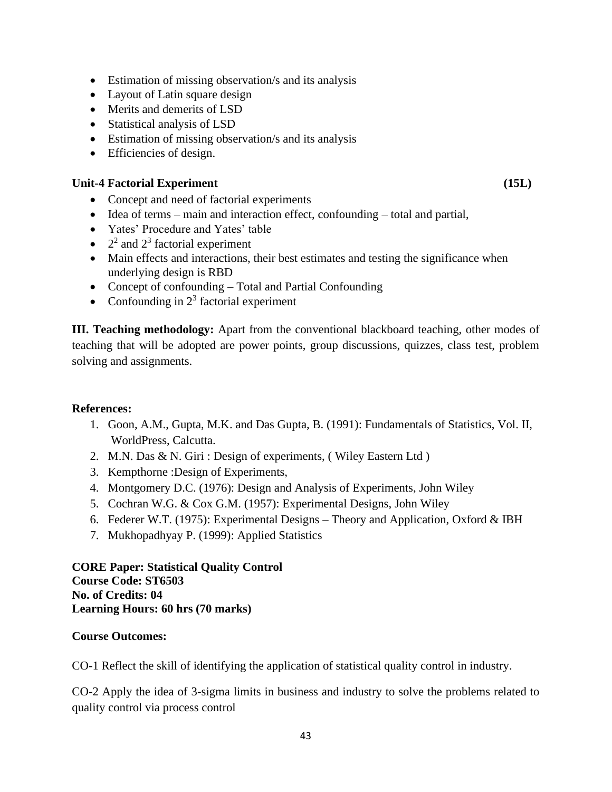- Estimation of missing observation/s and its analysis
- Layout of Latin square design
- Merits and demerits of LSD
- Statistical analysis of LSD
- Estimation of missing observation/s and its analysis
- Efficiencies of design.

# Unit-4 Factorial Experiment (15L)

- Concept and need of factorial experiments
- Idea of terms main and interaction effect, confounding total and partial,
- Yates' Procedure and Yates' table
- $2^2$  and  $2^3$  factorial experiment
- Main effects and interactions, their best estimates and testing the significance when underlying design is RBD
- Concept of confounding Total and Partial Confounding
- Confounding in  $2<sup>3</sup>$  factorial experiment

**III. Teaching methodology:** Apart from the conventional blackboard teaching, other modes of teaching that will be adopted are power points, group discussions, quizzes, class test, problem solving and assignments.

# **References:**

- 1. Goon, A.M., Gupta, M.K. and Das Gupta, B. (1991): Fundamentals of Statistics, Vol. II, WorldPress, Calcutta.
- 2. M.N. Das & N. Giri : Design of experiments, ( Wiley Eastern Ltd )
- 3. Kempthorne :Design of Experiments,
- 4. Montgomery D.C. (1976): Design and Analysis of Experiments, John Wiley
- 5. Cochran W.G. & Cox G.M. (1957): Experimental Designs, John Wiley
- 6. Federer W.T. (1975): Experimental Designs Theory and Application, Oxford & IBH
- 7. Mukhopadhyay P. (1999): Applied Statistics

**CORE Paper: Statistical Quality Control Course Code: ST6503 No. of Credits: 04 Learning Hours: 60 hrs (70 marks)**

# **Course Outcomes:**

CO-1 Reflect the skill of identifying the application of statistical quality control in industry.

CO-2 Apply the idea of 3-sigma limits in business and industry to solve the problems related to quality control via process control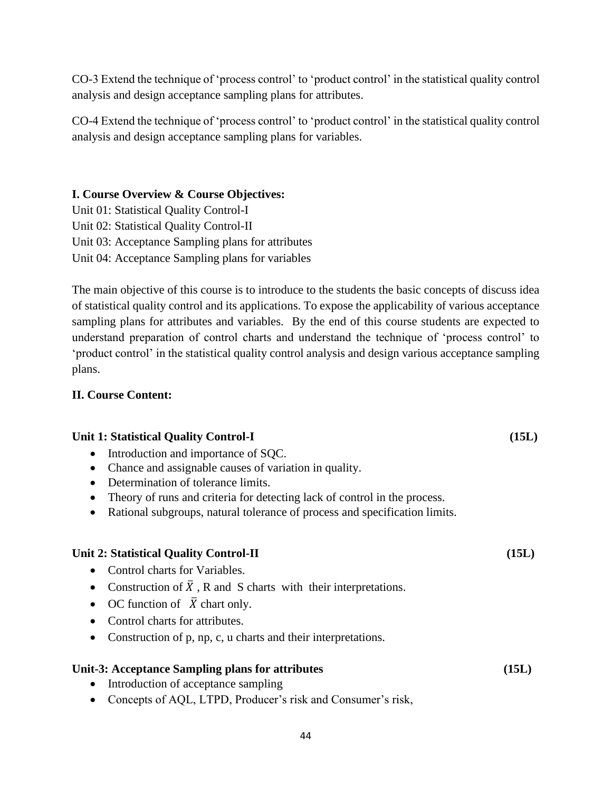CO-3 Extend the technique of 'process control' to 'product control' in the statistical quality control analysis and design acceptance sampling plans for attributes.

CO-4 Extend the technique of 'process control' to 'product control' in the statistical quality control analysis and design acceptance sampling plans for variables.

# **I. Course Overview & Course Objectives:**

Unit 01: Statistical Quality Control-I Unit 02: Statistical Quality Control-II Unit 03: Acceptance Sampling plans for attributes Unit 04: Acceptance Sampling plans for variables

The main objective of this course is to introduce to the students the basic concepts of discuss idea of statistical quality control and its applications. To expose the applicability of various acceptance sampling plans for attributes and variables. By the end of this course students are expected to understand preparation of control charts and understand the technique of 'process control' to 'product control' in the statistical quality control analysis and design various acceptance sampling plans.

# **II. Course Content:**

# Unit 1: Statistical Quality Control-I (15L)

- Introduction and importance of SQC.
- Chance and assignable causes of variation in quality.
- Determination of tolerance limits.
- Theory of runs and criteria for detecting lack of control in the process.
- Rational subgroups, natural tolerance of process and specification limits.

# **Unit 2: Statistical Quality Control-II (15L)**

- Control charts for Variables.
- Construction of  $\overline{X}$ , R and S charts with their interpretations.
- OC function of  $\overline{X}$  chart only.
- Control charts for attributes.
- Construction of p, np, c, u charts and their interpretations.

# **Unit-3: Acceptance Sampling plans for attributes (15L)**

- Introduction of acceptance sampling
- Concepts of AQL, LTPD, Producer's risk and Consumer's risk,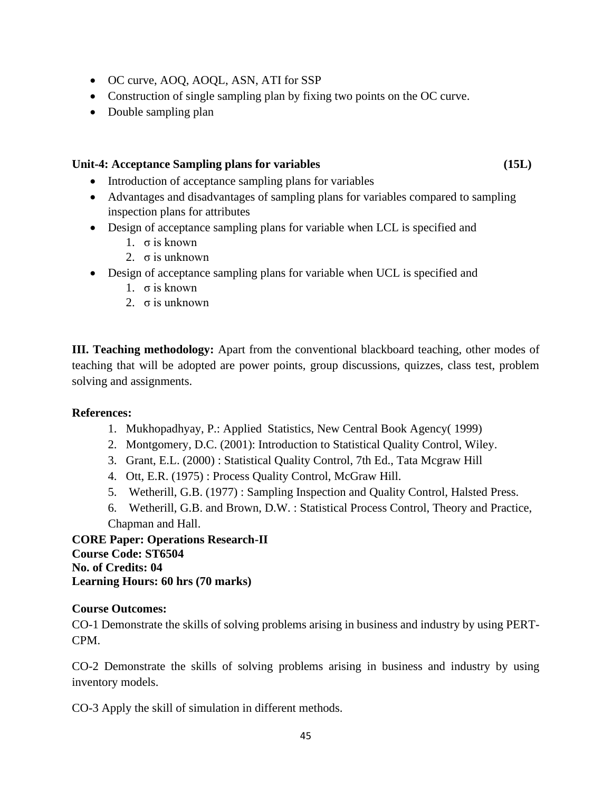- OC curve, AOQ, AOQL, ASN, ATI for SSP
- Construction of single sampling plan by fixing two points on the OC curve.
- Double sampling plan

### **Unit-4: Acceptance Sampling plans for variables (15L)**

- Introduction of acceptance sampling plans for variables
- Advantages and disadvantages of sampling plans for variables compared to sampling inspection plans for attributes
- Design of acceptance sampling plans for variable when LCL is specified and
	- 1. σ is known
	- 2. σ is unknown
- Design of acceptance sampling plans for variable when UCL is specified and
	- 1. σ is known
	- 2.  $\sigma$  is unknown

**III. Teaching methodology:** Apart from the conventional blackboard teaching, other modes of teaching that will be adopted are power points, group discussions, quizzes, class test, problem solving and assignments.

#### **References:**

- 1. Mukhopadhyay, P.: Applied Statistics, New Central Book Agency( 1999)
- 2. Montgomery, D.C. (2001): Introduction to Statistical Quality Control, Wiley.
- 3. Grant, E.L. (2000) : Statistical Quality Control, 7th Ed., Tata Mcgraw Hill
- 4. Ott, E.R. (1975) : Process Quality Control, McGraw Hill.
- 5. Wetherill, G.B. (1977) : Sampling Inspection and Quality Control, Halsted Press.
- 6. Wetherill, G.B. and Brown, D.W. : Statistical Process Control, Theory and Practice, Chapman and Hall.

**CORE Paper: Operations Research-II Course Code: ST6504 No. of Credits: 04 Learning Hours: 60 hrs (70 marks)**

#### **Course Outcomes:**

CO-1 Demonstrate the skills of solving problems arising in business and industry by using PERT-CPM.

CO-2 Demonstrate the skills of solving problems arising in business and industry by using inventory models.

CO-3 Apply the skill of simulation in different methods.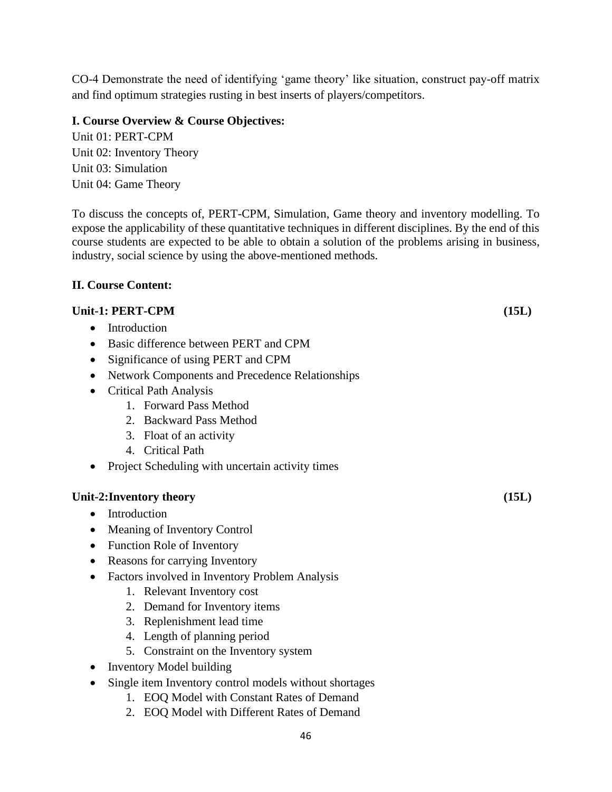CO-4 Demonstrate the need of identifying 'game theory' like situation, construct pay-off matrix and find optimum strategies rusting in best inserts of players/competitors.

# **I. Course Overview & Course Objectives:**

Unit 01: PERT-CPM Unit 02: Inventory Theory Unit 03: Simulation Unit 04: Game Theory

To discuss the concepts of, PERT-CPM, Simulation, Game theory and inventory modelling. To expose the applicability of these quantitative techniques in different disciplines. By the end of this course students are expected to be able to obtain a solution of the problems arising in business, industry, social science by using the above-mentioned methods.

# **II. Course Content:**

# **Unit-1: PERT-CPM (15L)**

- Introduction
- Basic difference between PERT and CPM
- Significance of using PERT and CPM
- Network Components and Precedence Relationships
- Critical Path Analysis
	- 1. Forward Pass Method
	- 2. Backward Pass Method
	- 3. Float of an activity
	- 4. Critical Path
- Project Scheduling with uncertain activity times

# **Unit-2:Inventory theory (15L)**

- Introduction
- Meaning of Inventory Control
- Function Role of Inventory
- Reasons for carrying Inventory
- Factors involved in Inventory Problem Analysis
	- 1. Relevant Inventory cost
	- 2. Demand for Inventory items
	- 3. Replenishment lead time
	- 4. Length of planning period
	- 5. Constraint on the Inventory system
- Inventory Model building
- Single item Inventory control models without shortages
	- 1. EOQ Model with Constant Rates of Demand
	- 2. EOQ Model with Different Rates of Demand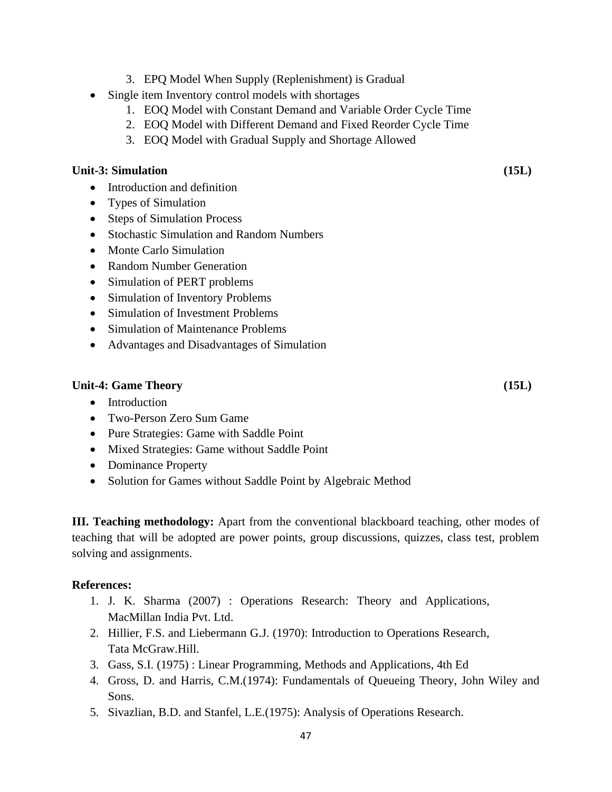- 3. EPQ Model When Supply (Replenishment) is Gradual
- Single item Inventory control models with shortages
	- 1. EOQ Model with Constant Demand and Variable Order Cycle Time
	- 2. EOQ Model with Different Demand and Fixed Reorder Cycle Time
	- 3. EOQ Model with Gradual Supply and Shortage Allowed

#### **Unit-3: Simulation (15L)**

- Introduction and definition
- Types of Simulation
- Steps of Simulation Process
- Stochastic Simulation and Random Numbers
- Monte Carlo Simulation
- Random Number Generation
- Simulation of PERT problems
- Simulation of Inventory Problems
- Simulation of Investment Problems
- Simulation of Maintenance Problems
- Advantages and Disadvantages of Simulation

#### **Unit-4: Game Theory (15L)**

- Introduction
- Two-Person Zero Sum Game
- Pure Strategies: Game with Saddle Point
- Mixed Strategies: Game without Saddle Point
- Dominance Property
- Solution for Games without Saddle Point by Algebraic Method

**III. Teaching methodology:** Apart from the conventional blackboard teaching, other modes of teaching that will be adopted are power points, group discussions, quizzes, class test, problem solving and assignments.

#### **References:**

- 1. J. K. Sharma (2007) : Operations Research: Theory and Applications, MacMillan India Pvt. Ltd.
- 2. Hillier, F.S. and Liebermann G.J. (1970): Introduction to Operations Research, Tata McGraw.Hill.
- 3. Gass, S.I. (1975) : Linear Programming, Methods and Applications, 4th Ed
- 4. Gross, D. and Harris, C.M.(1974): Fundamentals of Queueing Theory, John Wiley and Sons.
- 5. Sivazlian, B.D. and Stanfel, L.E.(1975): Analysis of Operations Research.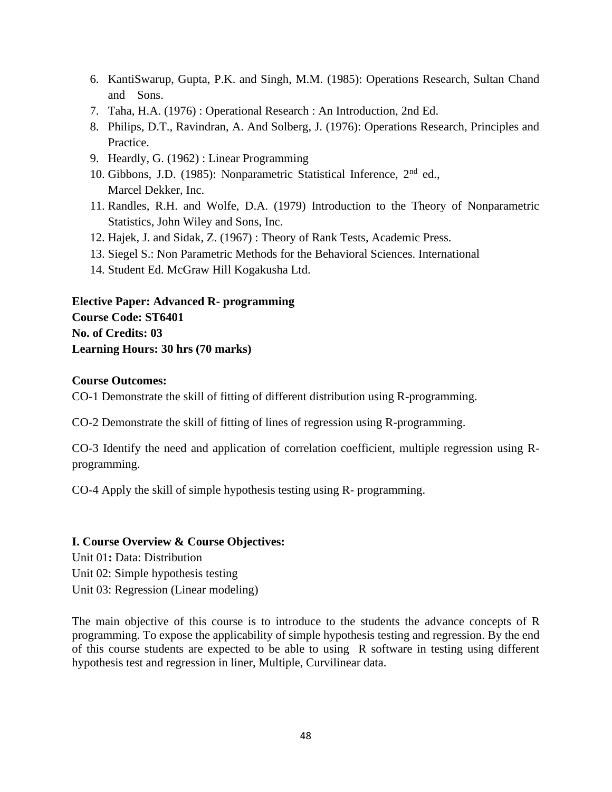- 6. KantiSwarup, Gupta, P.K. and Singh, M.M. (1985): Operations Research, Sultan Chand and Sons.
- 7. Taha, H.A. (1976) : Operational Research : An Introduction, 2nd Ed.
- 8. Philips, D.T., Ravindran, A. And Solberg, J. (1976): Operations Research, Principles and Practice.
- 9. Heardly, G. (1962) : Linear Programming
- 10. Gibbons, J.D. (1985): Nonparametric Statistical Inference, 2nd ed., Marcel Dekker, Inc.
- 11. Randles, R.H. and Wolfe, D.A. (1979) Introduction to the Theory of Nonparametric Statistics, John Wiley and Sons, Inc.
- 12. Hajek, J. and Sidak, Z. (1967) : Theory of Rank Tests, Academic Press.
- 13. Siegel S.: Non Parametric Methods for the Behavioral Sciences. International
- 14. Student Ed. McGraw Hill Kogakusha Ltd.

**Elective Paper: Advanced R- programming Course Code: ST6401 No. of Credits: 03 Learning Hours: 30 hrs (70 marks)**

#### **Course Outcomes:**

CO-1 Demonstrate the skill of fitting of different distribution using R-programming.

CO-2 Demonstrate the skill of fitting of lines of regression using R-programming.

CO-3 Identify the need and application of correlation coefficient, multiple regression using Rprogramming.

CO-4 Apply the skill of simple hypothesis testing using R- programming.

#### **I. Course Overview & Course Objectives:**

Unit 01**:** Data: Distribution Unit 02: Simple hypothesis testing Unit 03: Regression (Linear modeling)

The main objective of this course is to introduce to the students the advance concepts of R programming. To expose the applicability of simple hypothesis testing and regression. By the end of this course students are expected to be able to using R software in testing using different hypothesis test and regression in liner, Multiple, Curvilinear data.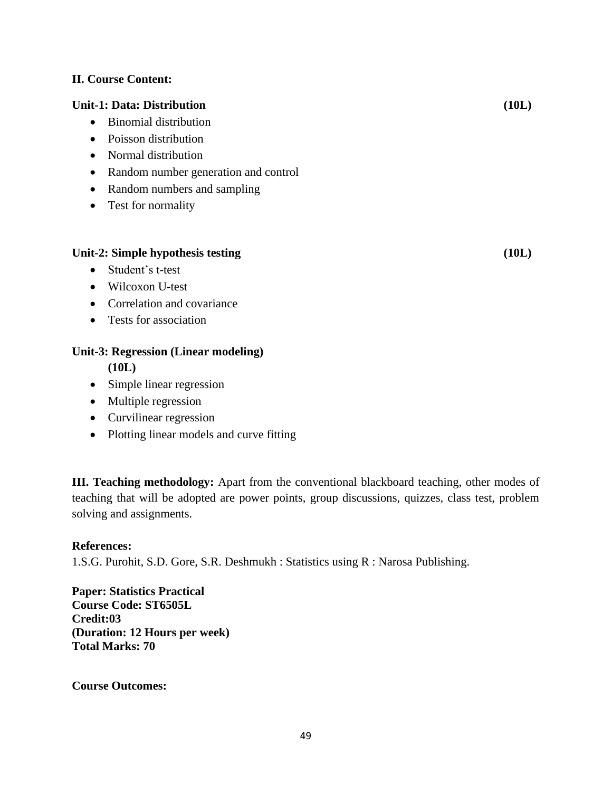# **II. Course Content:**

### **Unit-1: Data: Distribution (10L)**

- Binomial distribution
- Poisson distribution
- Normal distribution
- Random number generation and control
- Random numbers and sampling
- Test for normality

#### **Unit-2: Simple hypothesis testing (10L)**

- Student's t-test
- Wilcoxon U-test
- Correlation and covariance
- Tests for association

# **Unit-3: Regression (Linear modeling)**

**(10L)**

- Simple linear regression
- Multiple regression
- Curvilinear regression
- Plotting linear models and curve fitting

**III. Teaching methodology:** Apart from the conventional blackboard teaching, other modes of teaching that will be adopted are power points, group discussions, quizzes, class test, problem solving and assignments.

#### **References:**

1.S.G. Purohit, S.D. Gore, S.R. Deshmukh : Statistics using R : Narosa Publishing.

**Paper: Statistics Practical Course Code: ST6505L Credit:03 (Duration: 12 Hours per week) Total Marks: 70**

**Course Outcomes:**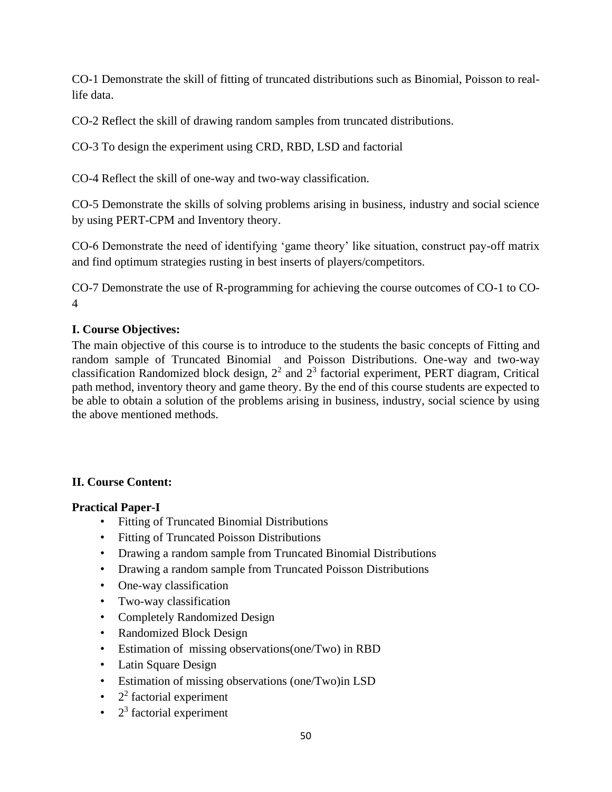CO-1 Demonstrate the skill of fitting of truncated distributions such as Binomial, Poisson to reallife data.

CO-2 Reflect the skill of drawing random samples from truncated distributions.

CO-3 To design the experiment using CRD, RBD, LSD and factorial

CO-4 Reflect the skill of one-way and two-way classification.

CO-5 Demonstrate the skills of solving problems arising in business, industry and social science by using PERT-CPM and Inventory theory.

CO-6 Demonstrate the need of identifying 'game theory' like situation, construct pay-off matrix and find optimum strategies rusting in best inserts of players/competitors.

CO-7 Demonstrate the use of R-programming for achieving the course outcomes of CO-1 to CO-4

# **I. Course Objectives:**

The main objective of this course is to introduce to the students the basic concepts of Fitting and random sample of Truncated Binomial and Poisson Distributions. One-way and two-way classification Randomized block design,  $2<sup>2</sup>$  and  $2<sup>3</sup>$  factorial experiment, PERT diagram, Critical path method, inventory theory and game theory. By the end of this course students are expected to be able to obtain a solution of the problems arising in business, industry, social science by using the above mentioned methods.

# **II. Course Content:**

#### **Practical Paper-I**

- Fitting of Truncated Binomial Distributions
- Fitting of Truncated Poisson Distributions
- Drawing a random sample from Truncated Binomial Distributions
- Drawing a random sample from Truncated Poisson Distributions
- One-way classification
- Two-way classification
- Completely Randomized Design
- Randomized Block Design
- Estimation of missing observations(one/Two) in RBD
- Latin Square Design
- Estimation of missing observations (one/Two)in LSD
- $\cdot$  2<sup>2</sup> factorial experiment
- $\bullet$  2<sup>3</sup> factorial experiment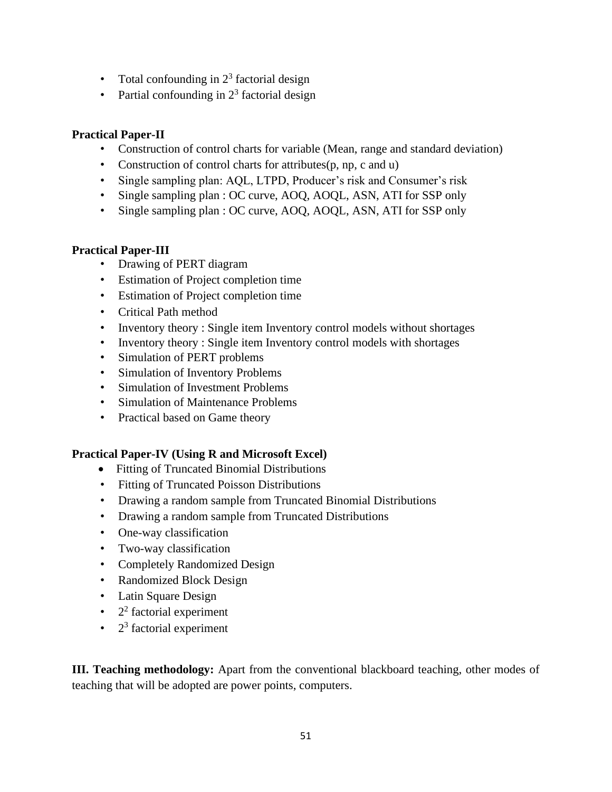- Total confounding in  $2<sup>3</sup>$  factorial design
- Partial confounding in  $2<sup>3</sup>$  factorial design

# **Practical Paper-II**

- Construction of control charts for variable (Mean, range and standard deviation)
- Construction of control charts for attributes(p, np, c and u)
- Single sampling plan: AQL, LTPD, Producer's risk and Consumer's risk
- Single sampling plan : OC curve, AOQ, AOQL, ASN, ATI for SSP only
- Single sampling plan : OC curve, AOQ, AOQL, ASN, ATI for SSP only

# **Practical Paper-III**

- Drawing of PERT diagram
- Estimation of Project completion time
- Estimation of Project completion time
- Critical Path method
- Inventory theory : Single item Inventory control models without shortages
- Inventory theory : Single item Inventory control models with shortages
- Simulation of PERT problems
- Simulation of Inventory Problems
- Simulation of Investment Problems
- Simulation of Maintenance Problems
- Practical based on Game theory

# **Practical Paper-IV (Using R and Microsoft Excel)**

- Fitting of Truncated Binomial Distributions
- Fitting of Truncated Poisson Distributions
- Drawing a random sample from Truncated Binomial Distributions
- Drawing a random sample from Truncated Distributions
- One-way classification
- Two-way classification
- Completely Randomized Design
- Randomized Block Design
- Latin Square Design
- $\cdot$  2<sup>2</sup> factorial experiment
- $\bullet$  2<sup>3</sup> factorial experiment

**III. Teaching methodology:** Apart from the conventional blackboard teaching, other modes of teaching that will be adopted are power points, computers.